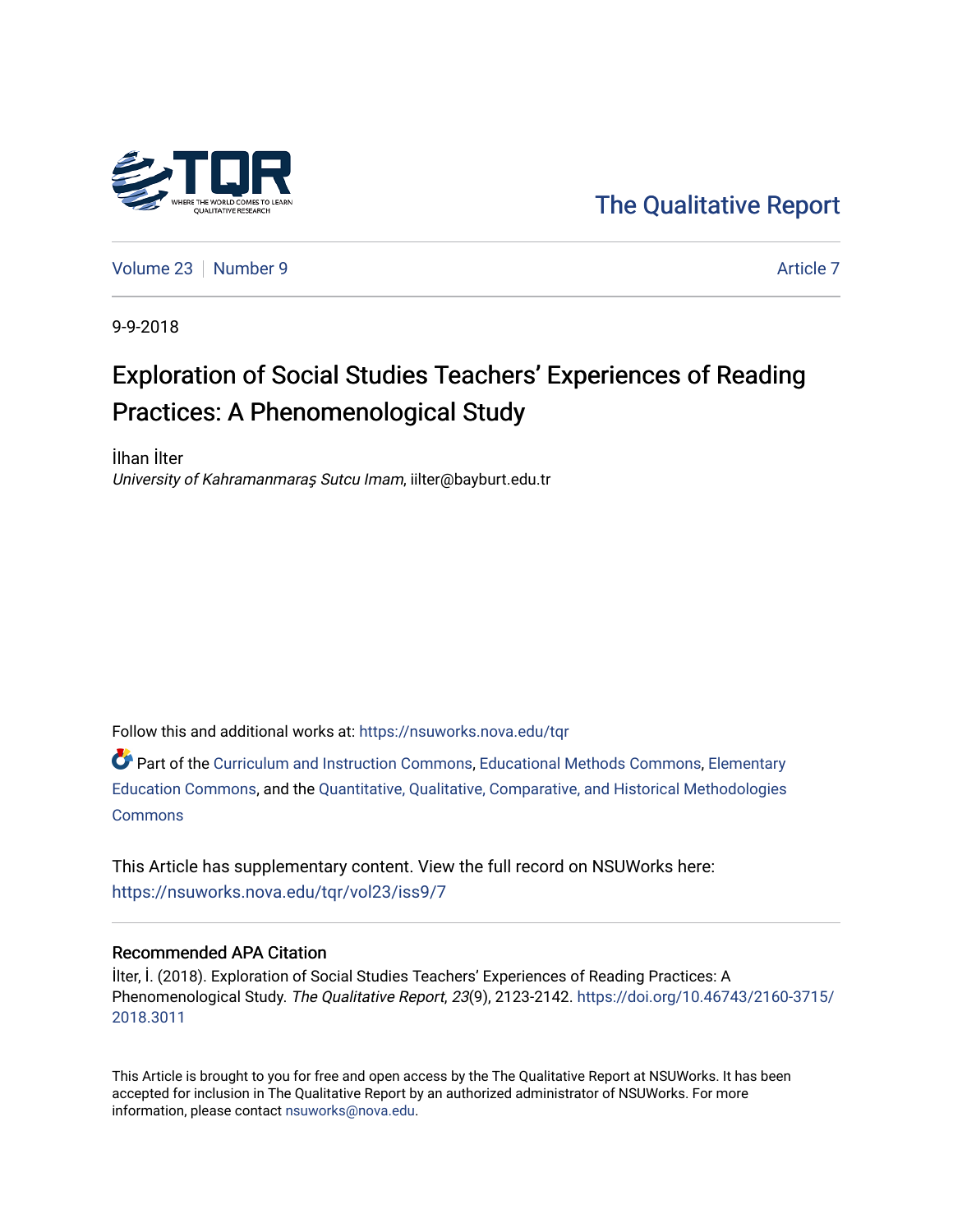

[The Qualitative Report](https://nsuworks.nova.edu/tqr) 

[Volume 23](https://nsuworks.nova.edu/tqr/vol23) [Number 9](https://nsuworks.nova.edu/tqr/vol23/iss9) [Article 7](https://nsuworks.nova.edu/tqr/vol23/iss9/7) Article 7 Article 7 Article 7 Article 7 Article 7 Article 7

9-9-2018

# Exploration of Social Studies Teachers' Experiences of Reading Practices: A Phenomenological Study

İlhan İlter University of Kahramanmaraş Sutcu Imam, iilter@bayburt.edu.tr

Follow this and additional works at: [https://nsuworks.nova.edu/tqr](https://nsuworks.nova.edu/tqr?utm_source=nsuworks.nova.edu%2Ftqr%2Fvol23%2Fiss9%2F7&utm_medium=PDF&utm_campaign=PDFCoverPages) 

Part of the [Curriculum and Instruction Commons,](http://network.bepress.com/hgg/discipline/786?utm_source=nsuworks.nova.edu%2Ftqr%2Fvol23%2Fiss9%2F7&utm_medium=PDF&utm_campaign=PDFCoverPages) [Educational Methods Commons,](http://network.bepress.com/hgg/discipline/1227?utm_source=nsuworks.nova.edu%2Ftqr%2Fvol23%2Fiss9%2F7&utm_medium=PDF&utm_campaign=PDFCoverPages) [Elementary](http://network.bepress.com/hgg/discipline/1378?utm_source=nsuworks.nova.edu%2Ftqr%2Fvol23%2Fiss9%2F7&utm_medium=PDF&utm_campaign=PDFCoverPages) [Education Commons,](http://network.bepress.com/hgg/discipline/1378?utm_source=nsuworks.nova.edu%2Ftqr%2Fvol23%2Fiss9%2F7&utm_medium=PDF&utm_campaign=PDFCoverPages) and the [Quantitative, Qualitative, Comparative, and Historical Methodologies](http://network.bepress.com/hgg/discipline/423?utm_source=nsuworks.nova.edu%2Ftqr%2Fvol23%2Fiss9%2F7&utm_medium=PDF&utm_campaign=PDFCoverPages)  **[Commons](http://network.bepress.com/hgg/discipline/423?utm_source=nsuworks.nova.edu%2Ftqr%2Fvol23%2Fiss9%2F7&utm_medium=PDF&utm_campaign=PDFCoverPages)** 

This Article has supplementary content. View the full record on NSUWorks here: <https://nsuworks.nova.edu/tqr/vol23/iss9/7>

#### Recommended APA Citation

İlter, İ. (2018). Exploration of Social Studies Teachers' Experiences of Reading Practices: A Phenomenological Study. The Qualitative Report, 23(9), 2123-2142. [https://doi.org/10.46743/2160-3715/](https://doi.org/10.46743/2160-3715/2018.3011) [2018.3011](https://doi.org/10.46743/2160-3715/2018.3011) 

This Article is brought to you for free and open access by the The Qualitative Report at NSUWorks. It has been accepted for inclusion in The Qualitative Report by an authorized administrator of NSUWorks. For more information, please contact [nsuworks@nova.edu.](mailto:nsuworks@nova.edu)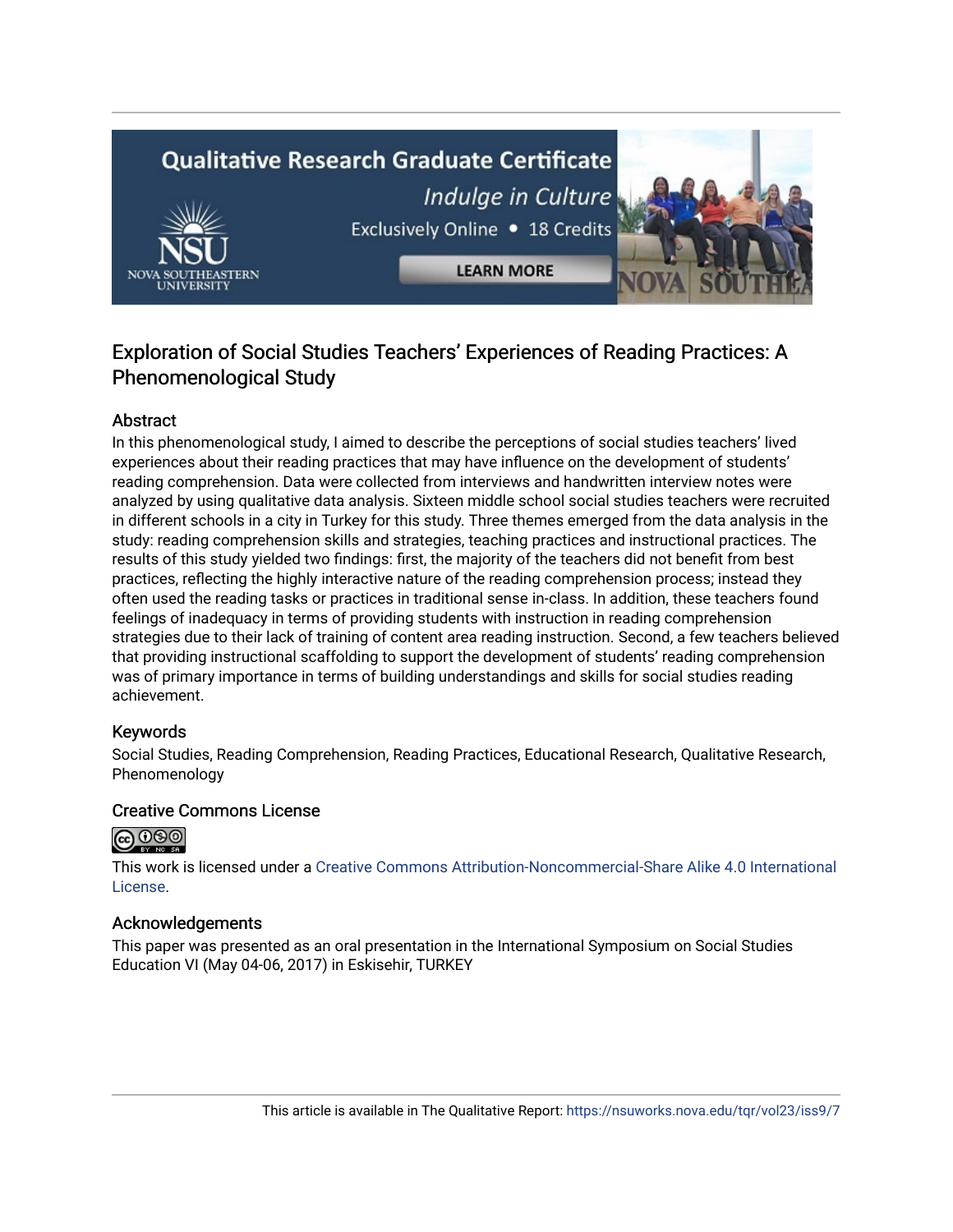# **Qualitative Research Graduate Certificate** Indulge in Culture Exclusively Online . 18 Credits **LEARN MORE**



# Abstract

In this phenomenological study, I aimed to describe the perceptions of social studies teachers' lived experiences about their reading practices that may have influence on the development of students' reading comprehension. Data were collected from interviews and handwritten interview notes were analyzed by using qualitative data analysis. Sixteen middle school social studies teachers were recruited in different schools in a city in Turkey for this study. Three themes emerged from the data analysis in the study: reading comprehension skills and strategies, teaching practices and instructional practices. The results of this study yielded two findings: first, the majority of the teachers did not benefit from best practices, reflecting the highly interactive nature of the reading comprehension process; instead they often used the reading tasks or practices in traditional sense in-class. In addition, these teachers found feelings of inadequacy in terms of providing students with instruction in reading comprehension strategies due to their lack of training of content area reading instruction. Second, a few teachers believed that providing instructional scaffolding to support the development of students' reading comprehension was of primary importance in terms of building understandings and skills for social studies reading achievement.

# Keywords

Social Studies, Reading Comprehension, Reading Practices, Educational Research, Qualitative Research, Phenomenology

# Creative Commons License



This work is licensed under a [Creative Commons Attribution-Noncommercial-Share Alike 4.0 International](https://creativecommons.org/licenses/by-nc-sa/4.0/)  [License](https://creativecommons.org/licenses/by-nc-sa/4.0/).

#### Acknowledgements

This paper was presented as an oral presentation in the International Symposium on Social Studies Education VI (May 04-06, 2017) in Eskisehir, TURKEY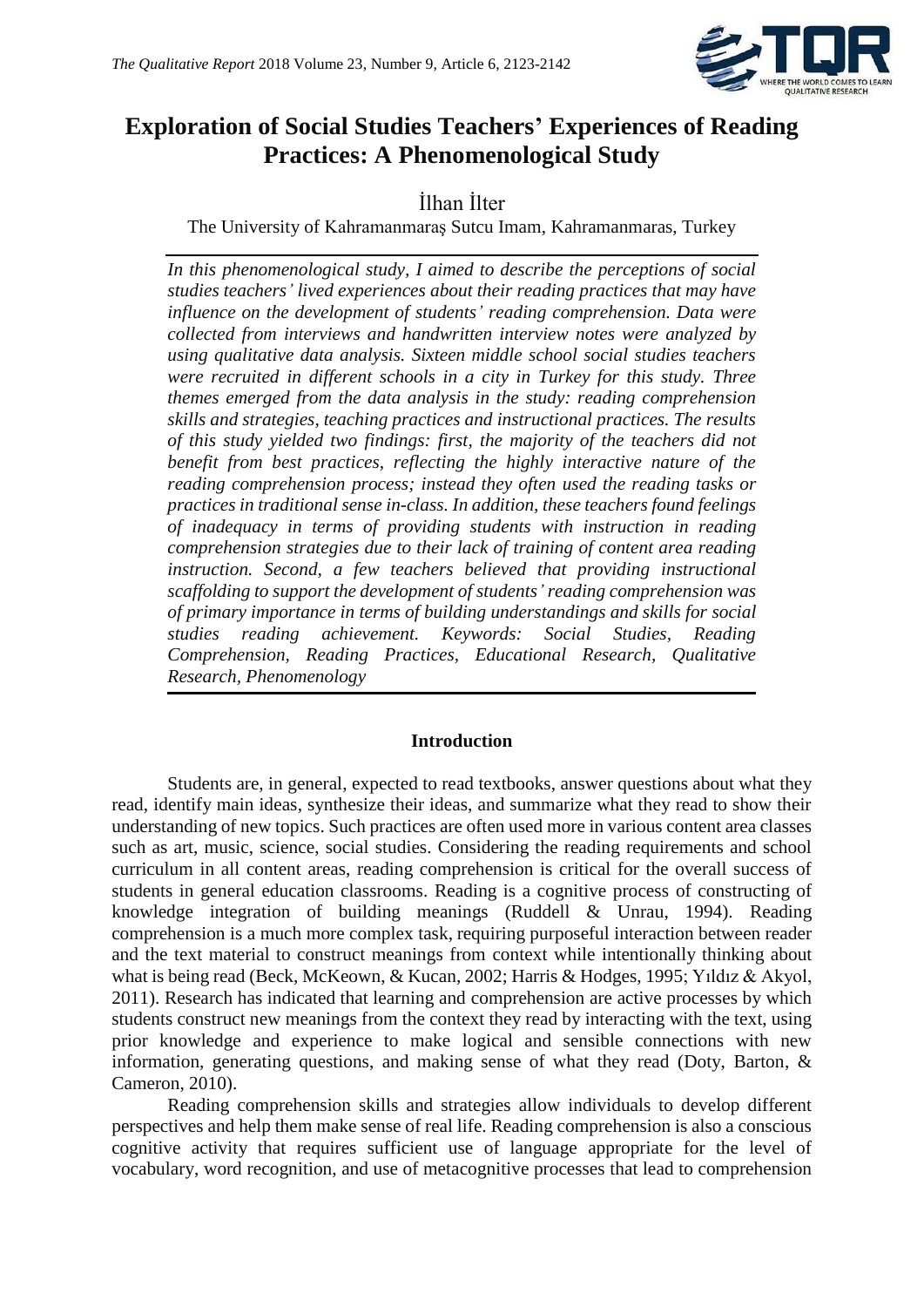

# **Exploration of Social Studies Teachers' Experiences of Reading Practices: A Phenomenological Study**

İlhan İlter

The University of Kahramanmaraş Sutcu Imam, Kahramanmaras, Turkey

*In this phenomenological study, I aimed to describe the perceptions of social studies teachers' lived experiences about their reading practices that may have influence on the development of students' reading comprehension. Data were collected from interviews and handwritten interview notes were analyzed by using qualitative data analysis. Sixteen middle school social studies teachers were recruited in different schools in a city in Turkey for this study. Three themes emerged from the data analysis in the study: reading comprehension skills and strategies, teaching practices and instructional practices. The results of this study yielded two findings: first, the majority of the teachers did not benefit from best practices, reflecting the highly interactive nature of the reading comprehension process; instead they often used the reading tasks or practices in traditional sense in-class. In addition, these teachers found feelings of inadequacy in terms of providing students with instruction in reading comprehension strategies due to their lack of training of content area reading instruction. Second, a few teachers believed that providing instructional scaffolding to support the development of students' reading comprehension was of primary importance in terms of building understandings and skills for social studies reading achievement. Keywords: Social Studies, Reading Comprehension, Reading Practices, Educational Research, Qualitative Research, Phenomenology*

# **Introduction**

Students are, in general, expected to read textbooks, answer questions about what they read, identify main ideas, synthesize their ideas, and summarize what they read to show their understanding of new topics. Such practices are often used more in various content area classes such as art, music, science, social studies. Considering the reading requirements and school curriculum in all content areas, reading comprehension is critical for the overall success of students in general education classrooms. Reading is a cognitive process of constructing of knowledge integration of building meanings (Ruddell & Unrau, 1994). Reading comprehension is a much more complex task, requiring purposeful interaction between reader and the text material to construct meanings from context while intentionally thinking about what is being read (Beck, McKeown, & Kucan, 2002; Harris & Hodges, 1995; Yıldız & Akyol, 2011). Research has indicated that learning and comprehension are active processes by which students construct new meanings from the context they read by interacting with the text, using prior knowledge and experience to make logical and sensible connections with new information, generating questions, and making sense of what they read (Doty, Barton, & Cameron, 2010).

Reading comprehension skills and strategies allow individuals to develop different perspectives and help them make sense of real life. Reading comprehension is also a conscious cognitive activity that requires sufficient use of language appropriate for the level of vocabulary, word recognition, and use of metacognitive processes that lead to comprehension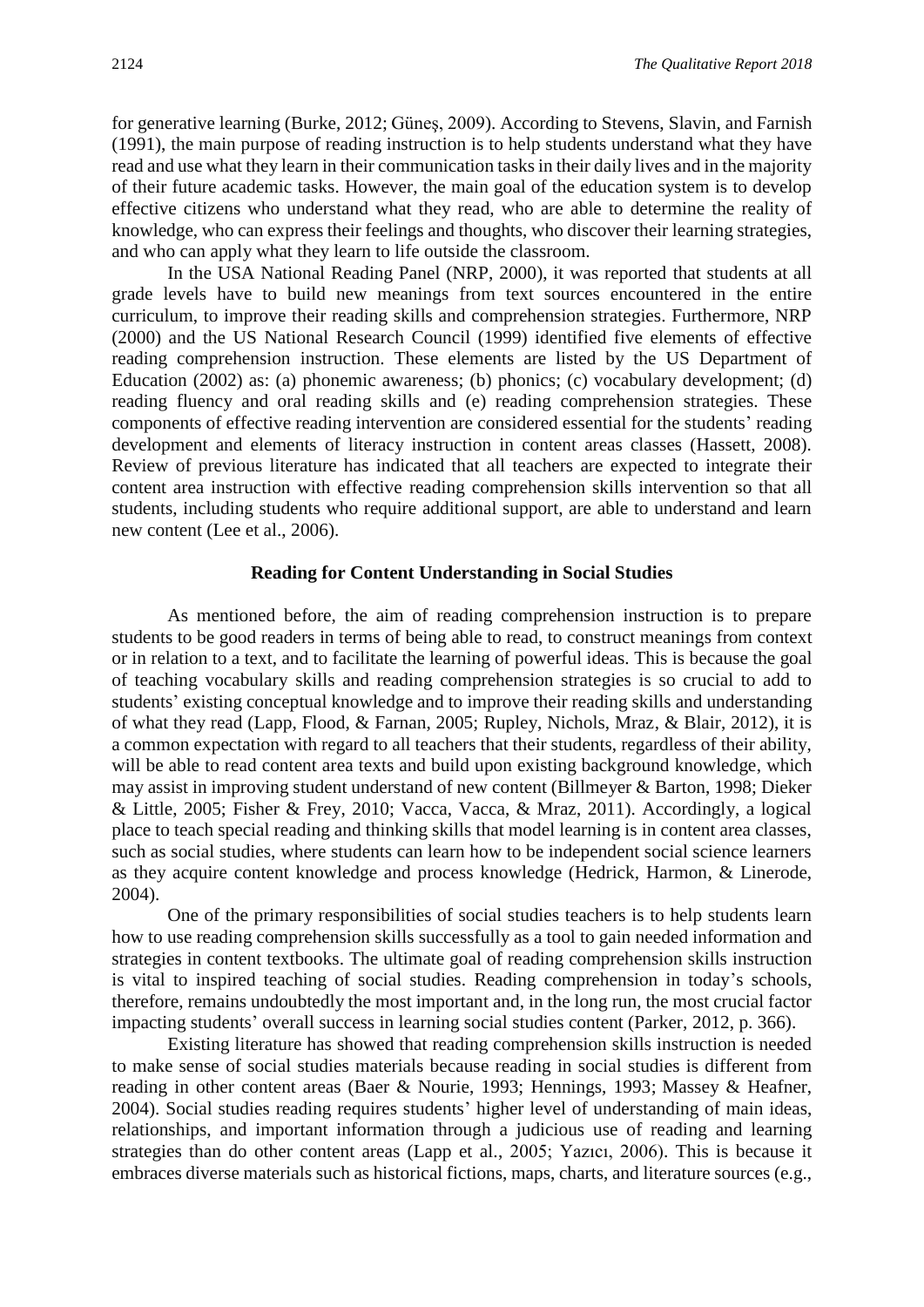for generative learning (Burke, 2012; Güneş, 2009). According to Stevens, Slavin, and Farnish (1991), the main purpose of reading instruction is to help students understand what they have read and use what they learn in their communication tasks in their daily lives and in the majority of their future academic tasks. However, the main goal of the education system is to develop effective citizens who understand what they read, who are able to determine the reality of knowledge, who can express their feelings and thoughts, who discover their learning strategies, and who can apply what they learn to life outside the classroom.

In the USA National Reading Panel (NRP, 2000), it was reported that students at all grade levels have to build new meanings from text sources encountered in the entire curriculum, to improve their reading skills and comprehension strategies. Furthermore, NRP (2000) and the US National Research Council (1999) identified five elements of effective reading comprehension instruction. These elements are listed by the US Department of Education (2002) as: (a) phonemic awareness; (b) phonics; (c) vocabulary development; (d) reading fluency and oral reading skills and (e) reading comprehension strategies. These components of effective reading intervention are considered essential for the students' reading development and elements of literacy instruction in content areas classes (Hassett, 2008). Review of previous literature has indicated that all teachers are expected to integrate their content area instruction with effective reading comprehension skills intervention so that all students, including students who require additional support, are able to understand and learn new content (Lee et al., 2006).

#### **Reading for Content Understanding in Social Studies**

As mentioned before, the aim of reading comprehension instruction is to prepare students to be good readers in terms of being able to read, to construct meanings from context or in relation to a text, and to facilitate the learning of powerful ideas. This is because the goal of teaching vocabulary skills and reading comprehension strategies is so crucial to add to students' existing conceptual knowledge and to improve their reading skills and understanding of what they read (Lapp, Flood, & Farnan, 2005; Rupley, Nichols, Mraz, & Blair, 2012), it is a common expectation with regard to all teachers that their students, regardless of their ability, will be able to read content area texts and build upon existing background knowledge, which may assist in improving student understand of new content (Billmeyer & Barton, 1998; Dieker & Little, 2005; Fisher & Frey, 2010; Vacca, Vacca, & Mraz, 2011). Accordingly, a logical place to teach special reading and thinking skills that model learning is in content area classes, such as social studies, where students can learn how to be independent social science learners as they acquire content knowledge and process knowledge (Hedrick, Harmon, & Linerode, 2004).

One of the primary responsibilities of social studies teachers is to help students learn how to use reading comprehension skills successfully as a tool to gain needed information and strategies in content textbooks. The ultimate goal of reading comprehension skills instruction is vital to inspired teaching of social studies. Reading comprehension in today's schools, therefore, remains undoubtedly the most important and, in the long run, the most crucial factor impacting students' overall success in learning social studies content (Parker, 2012, p. 366).

Existing literature has showed that reading comprehension skills instruction is needed to make sense of social studies materials because reading in social studies is different from reading in other content areas (Baer & Nourie, 1993; Hennings, 1993; Massey & Heafner, 2004). Social studies reading requires students' higher level of understanding of main ideas, relationships, and important information through a judicious use of reading and learning strategies than do other content areas (Lapp et al., 2005; Yazıcı, 2006). This is because it embraces diverse materials such as historical fictions, maps, charts, and literature sources (e.g.,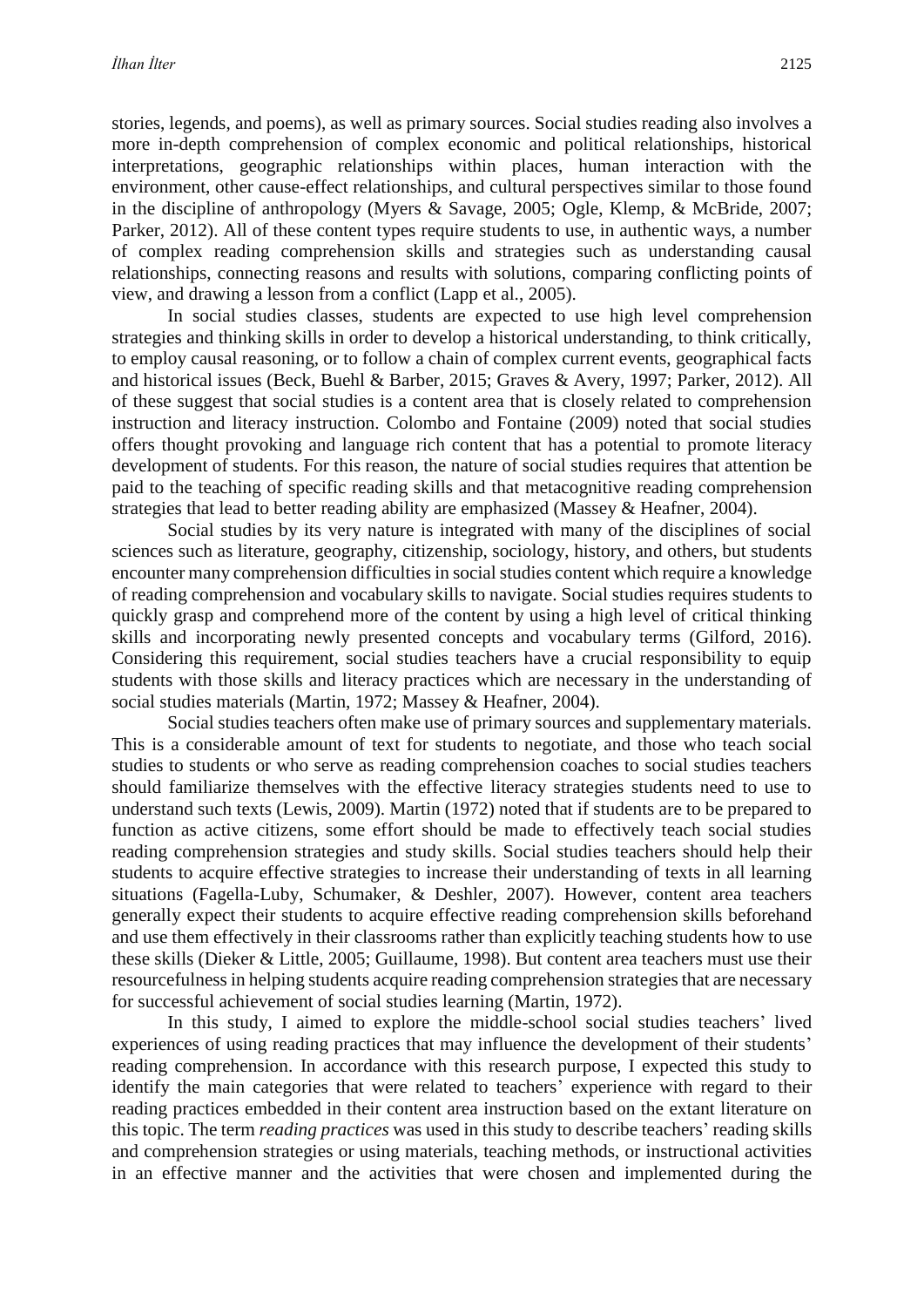stories, legends, and poems), as well as primary sources. Social studies reading also involves a more in-depth comprehension of complex economic and political relationships, historical interpretations, geographic relationships within places, human interaction with the environment, other cause-effect relationships, and cultural perspectives similar to those found in the discipline of anthropology (Myers & Savage, 2005; Ogle, Klemp, & McBride, 2007; Parker, 2012). All of these content types require students to use, in authentic ways, a number of complex reading comprehension skills and strategies such as understanding causal relationships, connecting reasons and results with solutions, comparing conflicting points of view, and drawing a lesson from a conflict (Lapp et al., 2005).

In social studies classes, students are expected to use high level comprehension strategies and thinking skills in order to develop a historical understanding, to think critically, to employ causal reasoning, or to follow a chain of complex current events, geographical facts and historical issues (Beck, Buehl & Barber, 2015; Graves & Avery, 1997; Parker, 2012). All of these suggest that social studies is a content area that is closely related to comprehension instruction and literacy instruction. Colombo and Fontaine (2009) noted that social studies offers thought provoking and language rich content that has a potential to promote literacy development of students. For this reason, the nature of social studies requires that attention be paid to the teaching of specific reading skills and that metacognitive reading comprehension strategies that lead to better reading ability are emphasized (Massey & Heafner, 2004).

Social studies by its very nature is integrated with many of the disciplines of social sciences such as literature, geography, citizenship, sociology, history, and others, but students encounter many comprehension difficulties in social studies content which require a knowledge of reading comprehension and vocabulary skills to navigate. Social studies requires students to quickly grasp and comprehend more of the content by using a high level of critical thinking skills and incorporating newly presented concepts and vocabulary terms (Gilford, 2016). Considering this requirement, social studies teachers have a crucial responsibility to equip students with those skills and literacy practices which are necessary in the understanding of social studies materials (Martin, 1972; Massey & Heafner, 2004).

Social studies teachers often make use of primary sources and supplementary materials. This is a considerable amount of text for students to negotiate, and those who teach social studies to students or who serve as reading comprehension coaches to social studies teachers should familiarize themselves with the effective literacy strategies students need to use to understand such texts (Lewis, 2009). Martin (1972) noted that if students are to be prepared to function as active citizens, some effort should be made to effectively teach social studies reading comprehension strategies and study skills. Social studies teachers should help their students to acquire effective strategies to increase their understanding of texts in all learning situations (Fagella-Luby, Schumaker, & Deshler, 2007). However, content area teachers generally expect their students to acquire effective reading comprehension skills beforehand and use them effectively in their classrooms rather than explicitly teaching students how to use these skills (Dieker & Little, 2005; Guillaume, 1998). But content area teachers must use their resourcefulness in helping students acquire reading comprehension strategies that are necessary for successful achievement of social studies learning (Martin, 1972).

In this study, I aimed to explore the middle-school social studies teachers' lived experiences of using reading practices that may influence the development of their students' reading comprehension. In accordance with this research purpose, I expected this study to identify the main categories that were related to teachers' experience with regard to their reading practices embedded in their content area instruction based on the extant literature on this topic. The term *reading practices* was used in this study to describe teachers' reading skills and comprehension strategies or using materials, teaching methods, or instructional activities in an effective manner and the activities that were chosen and implemented during the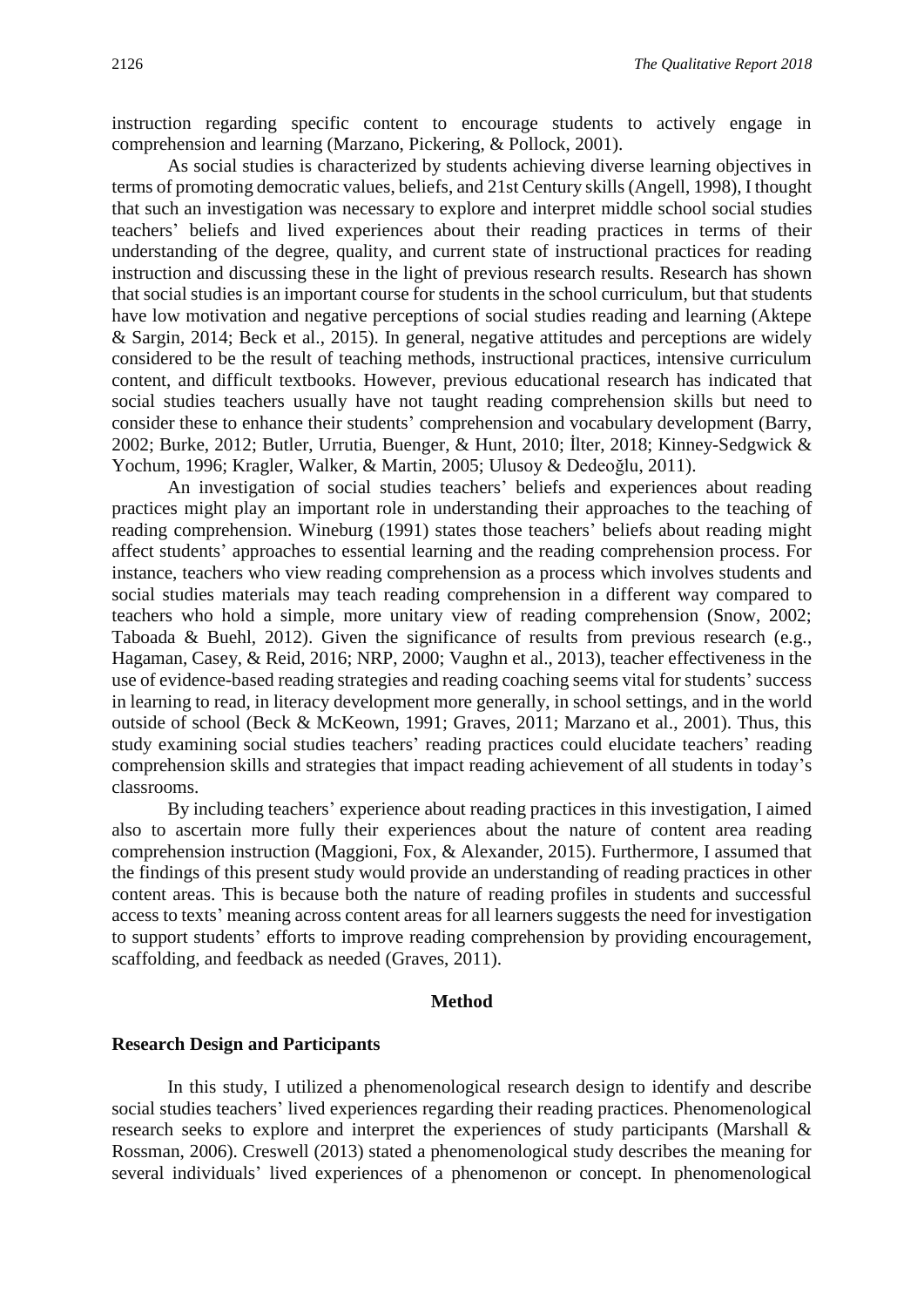instruction regarding specific content to encourage students to actively engage in comprehension and learning (Marzano, Pickering, & Pollock, 2001).

As social studies is characterized by students achieving diverse learning objectives in terms of promoting democratic values, beliefs, and 21st Century skills (Angell, 1998), I thought that such an investigation was necessary to explore and interpret middle school social studies teachers' beliefs and lived experiences about their reading practices in terms of their understanding of the degree, quality, and current state of instructional practices for reading instruction and discussing these in the light of previous research results. Research has shown that social studies is an important course for students in the school curriculum, but that students have low motivation and negative perceptions of social studies reading and learning (Aktepe & Sargin, 2014; Beck et al., 2015). In general, negative attitudes and perceptions are widely considered to be the result of teaching methods, instructional practices, intensive curriculum content, and difficult textbooks. However, previous educational research has indicated that social studies teachers usually have not taught reading comprehension skills but need to consider these to enhance their students' comprehension and vocabulary development (Barry, 2002; Burke, 2012; Butler, Urrutia, Buenger, & Hunt, 2010; İlter, 2018; Kinney-Sedgwick & Yochum, 1996; Kragler, Walker, & Martin, 2005; Ulusoy & Dedeoğlu, 2011).

An investigation of social studies teachers' beliefs and experiences about reading practices might play an important role in understanding their approaches to the teaching of reading comprehension. Wineburg (1991) states those teachers' beliefs about reading might affect students' approaches to essential learning and the reading comprehension process. For instance, teachers who view reading comprehension as a process which involves students and social studies materials may teach reading comprehension in a different way compared to teachers who hold a simple, more unitary view of reading comprehension (Snow, 2002; Taboada & Buehl, 2012). Given the significance of results from previous research (e.g., Hagaman, Casey, & Reid, 2016; NRP, 2000; Vaughn et al., 2013), teacher effectiveness in the use of evidence-based reading strategies and reading coaching seems vital for students' success in learning to read, in literacy development more generally, in school settings, and in the world outside of school (Beck & McKeown, 1991; Graves, 2011; Marzano et al., 2001). Thus, this study examining social studies teachers' reading practices could elucidate teachers' reading comprehension skills and strategies that impact reading achievement of all students in today's classrooms.

By including teachers' experience about reading practices in this investigation, I aimed also to ascertain more fully their experiences about the nature of content area reading comprehension instruction (Maggioni, Fox, & Alexander, 2015). Furthermore, I assumed that the findings of this present study would provide an understanding of reading practices in other content areas. This is because both the nature of reading profiles in students and successful access to texts' meaning across content areas for all learners suggests the need for investigation to support students' efforts to improve reading comprehension by providing encouragement, scaffolding, and feedback as needed (Graves, 2011).

#### **Method**

#### **Research Design and Participants**

In this study, I utilized a phenomenological research design to identify and describe social studies teachers' lived experiences regarding their reading practices. Phenomenological research seeks to explore and interpret the experiences of study participants (Marshall & Rossman, 2006). Creswell (2013) stated a phenomenological study describes the meaning for several individuals' lived experiences of a phenomenon or concept. In phenomenological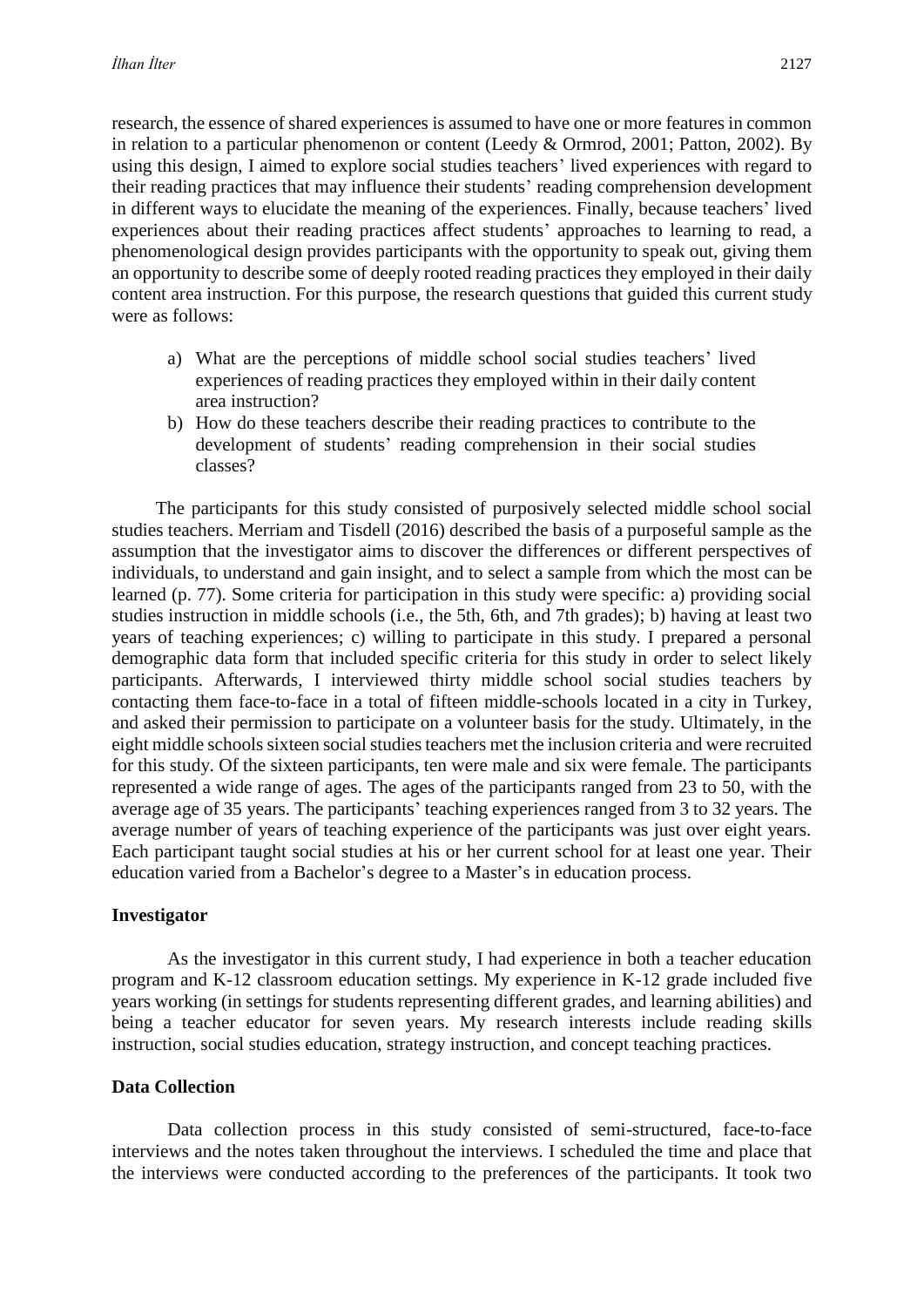research, the essence of shared experiences is assumed to have one or more features in common in relation to a particular phenomenon or content (Leedy & Ormrod, 2001; Patton, 2002). By using this design, I aimed to explore social studies teachers' lived experiences with regard to their reading practices that may influence their students' reading comprehension development in different ways to elucidate the meaning of the experiences. Finally, because teachers' lived experiences about their reading practices affect students' approaches to learning to read, a phenomenological design provides participants with the opportunity to speak out, giving them an opportunity to describe some of deeply rooted reading practices they employed in their daily content area instruction. For this purpose, the research questions that guided this current study were as follows:

- a) What are the perceptions of middle school social studies teachers' lived experiences of reading practices they employed within in their daily content area instruction?
- b) How do these teachers describe their reading practices to contribute to the development of students' reading comprehension in their social studies classes?

The participants for this study consisted of purposively selected middle school social studies teachers. Merriam and Tisdell (2016) described the basis of a purposeful sample as the assumption that the investigator aims to discover the differences or different perspectives of individuals, to understand and gain insight, and to select a sample from which the most can be learned (p. 77). Some criteria for participation in this study were specific: a) providing social studies instruction in middle schools (i.e., the 5th, 6th, and 7th grades); b) having at least two years of teaching experiences; c) willing to participate in this study. I prepared a personal demographic data form that included specific criteria for this study in order to select likely participants. Afterwards, I interviewed thirty middle school social studies teachers by contacting them face-to-face in a total of fifteen middle-schools located in a city in Turkey, and asked their permission to participate on a volunteer basis for the study. Ultimately, in the eight middle schools sixteen social studies teachers met the inclusion criteria and were recruited for this study. Of the sixteen participants, ten were male and six were female. The participants represented a wide range of ages. The ages of the participants ranged from 23 to 50, with the average age of 35 years. The participants' teaching experiences ranged from 3 to 32 years. The average number of years of teaching experience of the participants was just over eight years. Each participant taught social studies at his or her current school for at least one year. Their education varied from a Bachelor's degree to a Master's in education process.

#### **Investigator**

As the investigator in this current study, I had experience in both a teacher education program and K-12 classroom education settings. My experience in K-12 grade included five years working (in settings for students representing different grades, and learning abilities) and being a teacher educator for seven years. My research interests include reading skills instruction, social studies education, strategy instruction, and concept teaching practices.

#### **Data Collection**

Data collection process in this study consisted of semi-structured, face-to-face interviews and the notes taken throughout the interviews. I scheduled the time and place that the interviews were conducted according to the preferences of the participants. It took two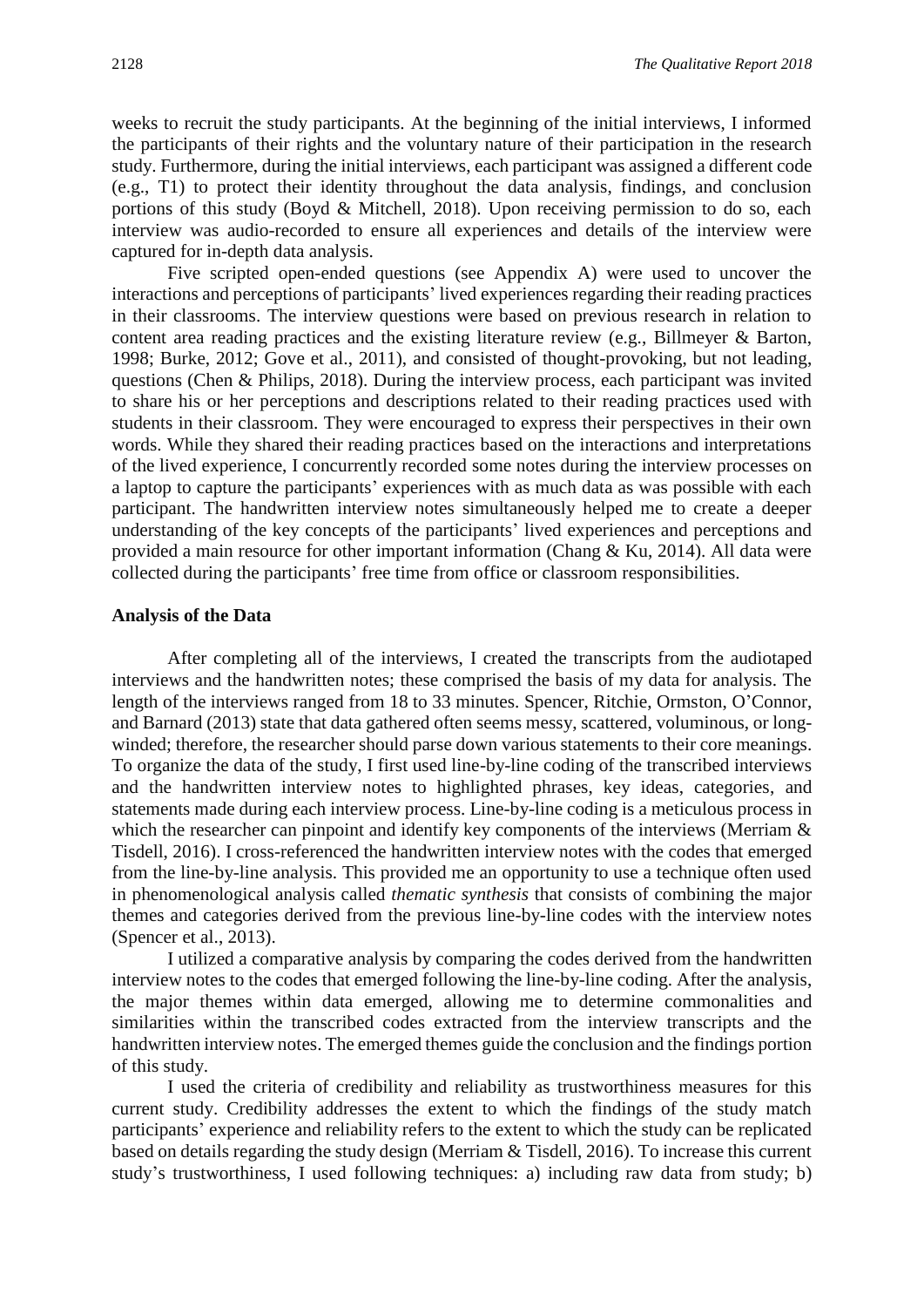weeks to recruit the study participants. At the beginning of the initial interviews, I informed the participants of their rights and the voluntary nature of their participation in the research study. Furthermore, during the initial interviews, each participant was assigned a different code (e.g., T1) to protect their identity throughout the data analysis, findings, and conclusion portions of this study (Boyd & Mitchell, 2018). Upon receiving permission to do so, each interview was audio-recorded to ensure all experiences and details of the interview were captured for in-depth data analysis.

Five scripted open-ended questions (see Appendix A) were used to uncover the interactions and perceptions of participants' lived experiences regarding their reading practices in their classrooms. The interview questions were based on previous research in relation to content area reading practices and the existing literature review (e.g., Billmeyer & Barton, 1998; Burke, 2012; Gove et al., 2011), and consisted of thought-provoking, but not leading, questions (Chen & Philips, 2018). During the interview process, each participant was invited to share his or her perceptions and descriptions related to their reading practices used with students in their classroom. They were encouraged to express their perspectives in their own words. While they shared their reading practices based on the interactions and interpretations of the lived experience, I concurrently recorded some notes during the interview processes on a laptop to capture the participants' experiences with as much data as was possible with each participant. The handwritten interview notes simultaneously helped me to create a deeper understanding of the key concepts of the participants' lived experiences and perceptions and provided a main resource for other important information (Chang & Ku, 2014). All data were collected during the participants' free time from office or classroom responsibilities.

#### **Analysis of the Data**

After completing all of the interviews, I created the transcripts from the audiotaped interviews and the handwritten notes; these comprised the basis of my data for analysis. The length of the interviews ranged from 18 to 33 minutes. Spencer, Ritchie, Ormston, O'Connor, and Barnard (2013) state that data gathered often seems messy, scattered, voluminous, or longwinded; therefore, the researcher should parse down various statements to their core meanings. To organize the data of the study, I first used line-by-line coding of the transcribed interviews and the handwritten interview notes to highlighted phrases, key ideas, categories, and statements made during each interview process. Line-by-line coding is a meticulous process in which the researcher can pinpoint and identify key components of the interviews (Merriam  $\&$ Tisdell, 2016). I cross-referenced the handwritten interview notes with the codes that emerged from the line-by-line analysis. This provided me an opportunity to use a technique often used in phenomenological analysis called *thematic synthesis* that consists of combining the major themes and categories derived from the previous line-by-line codes with the interview notes (Spencer et al., 2013).

I utilized a comparative analysis by comparing the codes derived from the handwritten interview notes to the codes that emerged following the line-by-line coding. After the analysis, the major themes within data emerged, allowing me to determine commonalities and similarities within the transcribed codes extracted from the interview transcripts and the handwritten interview notes. The emerged themes guide the conclusion and the findings portion of this study.

I used the criteria of credibility and reliability as trustworthiness measures for this current study. Credibility addresses the extent to which the findings of the study match participants' experience and reliability refers to the extent to which the study can be replicated based on details regarding the study design (Merriam & Tisdell, 2016). To increase this current study's trustworthiness, I used following techniques: a) including raw data from study; b)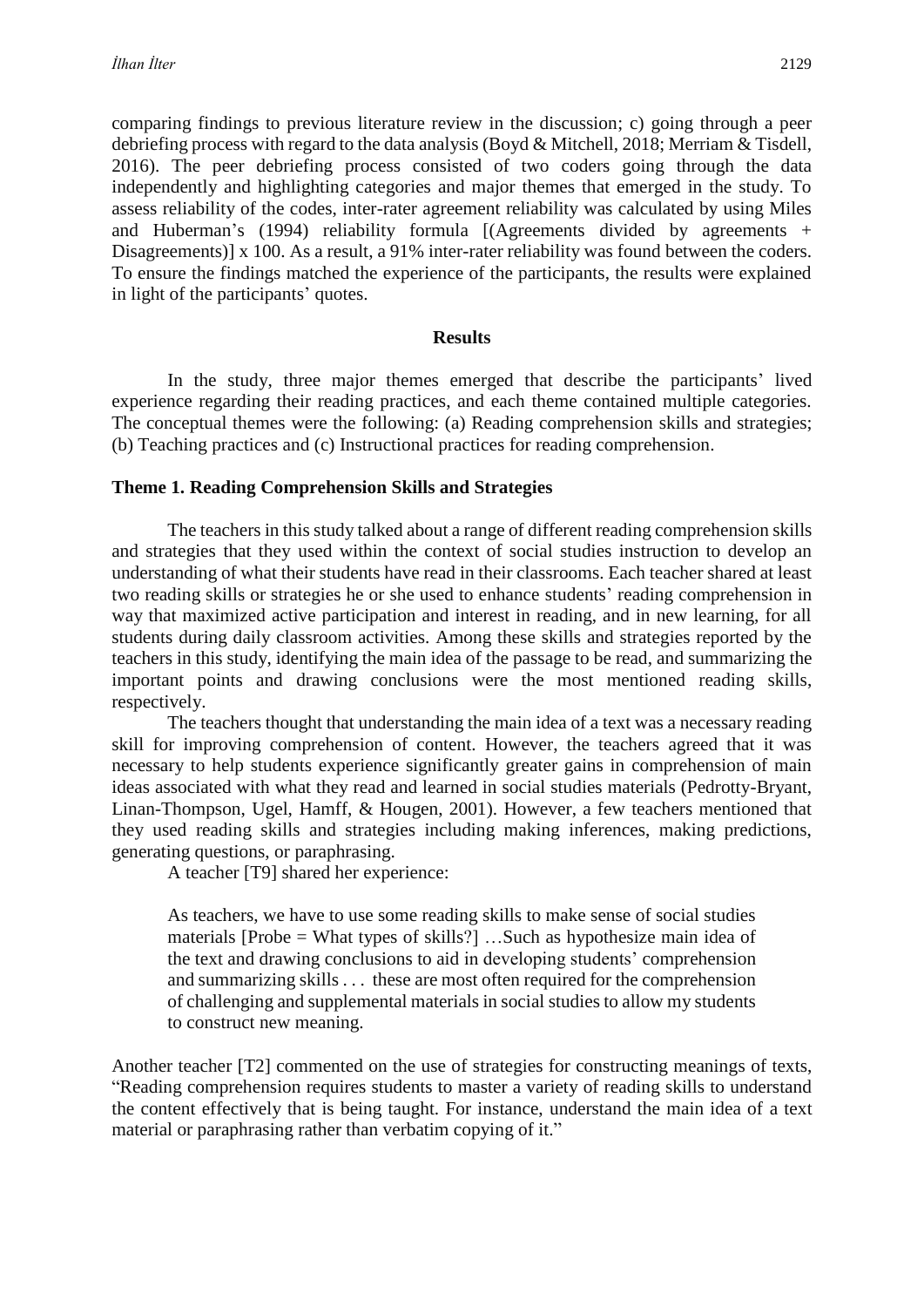comparing findings to previous literature review in the discussion; c) going through a peer debriefing process with regard to the data analysis (Boyd & Mitchell, 2018; Merriam & Tisdell, 2016). The peer debriefing process consisted of two coders going through the data independently and highlighting categories and major themes that emerged in the study. To assess reliability of the codes, inter-rater agreement reliability was calculated by using Miles and Huberman's (1994) reliability formula [(Agreements divided by agreements + Disagreements)] x 100. As a result, a 91% inter-rater reliability was found between the coders. To ensure the findings matched the experience of the participants, the results were explained in light of the participants' quotes.

#### **Results**

In the study, three major themes emerged that describe the participants' lived experience regarding their reading practices, and each theme contained multiple categories. The conceptual themes were the following: (a) Reading comprehension skills and strategies; (b) Teaching practices and (c) Instructional practices for reading comprehension.

#### **Theme 1. Reading Comprehension Skills and Strategies**

The teachers in this study talked about a range of different reading comprehension skills and strategies that they used within the context of social studies instruction to develop an understanding of what their students have read in their classrooms. Each teacher shared at least two reading skills or strategies he or she used to enhance students' reading comprehension in way that maximized active participation and interest in reading, and in new learning, for all students during daily classroom activities. Among these skills and strategies reported by the teachers in this study, identifying the main idea of the passage to be read, and summarizing the important points and drawing conclusions were the most mentioned reading skills, respectively.

The teachers thought that understanding the main idea of a text was a necessary reading skill for improving comprehension of content. However, the teachers agreed that it was necessary to help students experience significantly greater gains in comprehension of main ideas associated with what they read and learned in social studies materials (Pedrotty-Bryant, Linan-Thompson, Ugel, Hamff, & Hougen, 2001). However, a few teachers mentioned that they used reading skills and strategies including making inferences, making predictions, generating questions, or paraphrasing.

A teacher [T9] shared her experience:

As teachers, we have to use some reading skills to make sense of social studies materials [Probe = What types of skills?] …Such as hypothesize main idea of the text and drawing conclusions to aid in developing students' comprehension and summarizing skills . . . these are most often required for the comprehension of challenging and supplemental materials in social studies to allow my students to construct new meaning.

Another teacher [T2] commented on the use of strategies for constructing meanings of texts, "Reading comprehension requires students to master a variety of reading skills to understand the content effectively that is being taught. For instance, understand the main idea of a text material or paraphrasing rather than verbatim copying of it."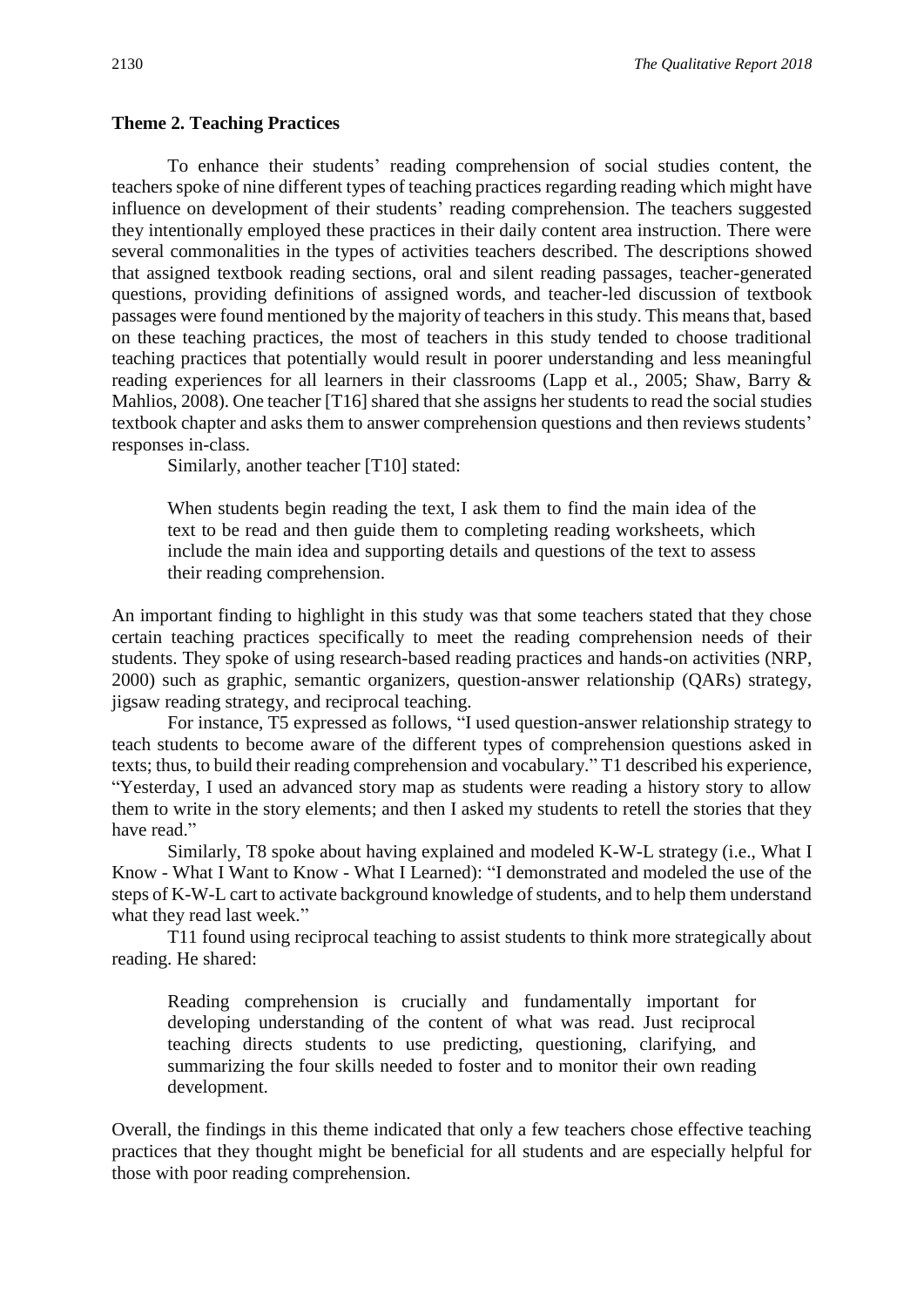#### **Theme 2. Teaching Practices**

To enhance their students' reading comprehension of social studies content, the teachers spoke of nine different types of teaching practices regarding reading which might have influence on development of their students' reading comprehension. The teachers suggested they intentionally employed these practices in their daily content area instruction. There were several commonalities in the types of activities teachers described. The descriptions showed that assigned textbook reading sections, oral and silent reading passages, teacher-generated questions, providing definitions of assigned words, and teacher-led discussion of textbook passages were found mentioned by the majority of teachers in this study. This means that, based on these teaching practices, the most of teachers in this study tended to choose traditional teaching practices that potentially would result in poorer understanding and less meaningful reading experiences for all learners in their classrooms (Lapp et al., 2005; Shaw, Barry & Mahlios, 2008). One teacher [T16] shared that she assigns her students to read the social studies textbook chapter and asks them to answer comprehension questions and then reviews students' responses in-class.

Similarly, another teacher [T10] stated:

When students begin reading the text, I ask them to find the main idea of the text to be read and then guide them to completing reading worksheets, which include the main idea and supporting details and questions of the text to assess their reading comprehension.

An important finding to highlight in this study was that some teachers stated that they chose certain teaching practices specifically to meet the reading comprehension needs of their students. They spoke of using research-based reading practices and hands-on activities (NRP, 2000) such as graphic, semantic organizers, question-answer relationship (QARs) strategy, jigsaw reading strategy, and reciprocal teaching.

For instance, T5 expressed as follows, "I used question-answer relationship strategy to teach students to become aware of the different types of comprehension questions asked in texts; thus, to build their reading comprehension and vocabulary." T1 described his experience, "Yesterday, I used an advanced story map as students were reading a history story to allow them to write in the story elements; and then I asked my students to retell the stories that they have read."

Similarly, T8 spoke about having explained and modeled K-W-L strategy (i.e., What I Know - What I Want to Know - What I Learned): "I demonstrated and modeled the use of the steps of K-W-L cart to activate background knowledge of students, and to help them understand what they read last week."

T11 found using reciprocal teaching to assist students to think more strategically about reading. He shared:

Reading comprehension is crucially and fundamentally important for developing understanding of the content of what was read. Just reciprocal teaching directs students to use predicting, questioning, clarifying, and summarizing the four skills needed to foster and to monitor their own reading development.

Overall, the findings in this theme indicated that only a few teachers chose effective teaching practices that they thought might be beneficial for all students and are especially helpful for those with poor reading comprehension.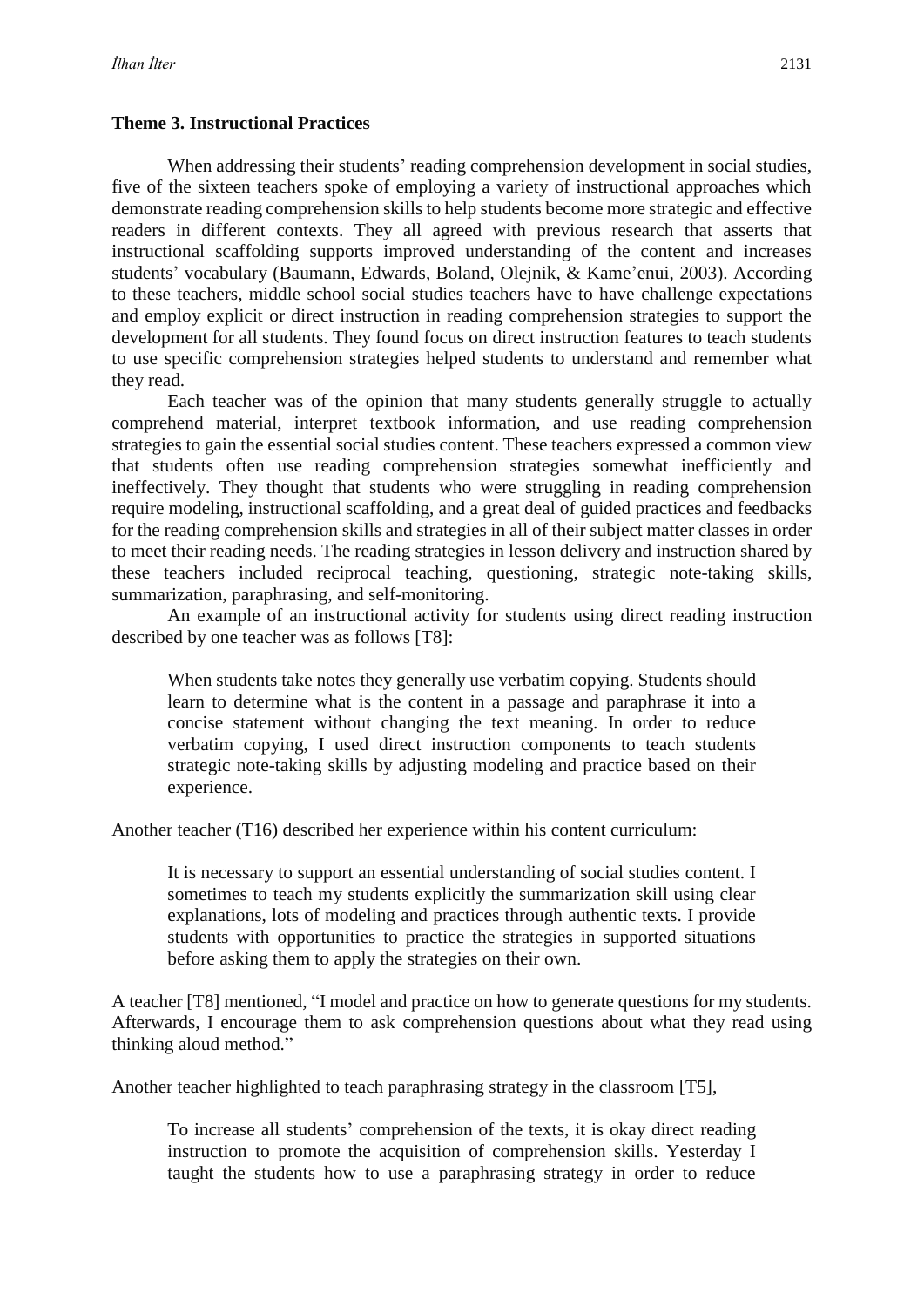#### **Theme 3. Instructional Practices**

When addressing their students' reading comprehension development in social studies, five of the sixteen teachers spoke of employing a variety of instructional approaches which demonstrate reading comprehension skills to help students become more strategic and effective readers in different contexts. They all agreed with previous research that asserts that instructional scaffolding supports improved understanding of the content and increases students' vocabulary (Baumann, Edwards, Boland, Olejnik, & Kame'enui, 2003). According to these teachers, middle school social studies teachers have to have challenge expectations and employ explicit or direct instruction in reading comprehension strategies to support the development for all students. They found focus on direct instruction features to teach students to use specific comprehension strategies helped students to understand and remember what they read.

Each teacher was of the opinion that many students generally struggle to actually comprehend material, interpret textbook information, and use reading comprehension strategies to gain the essential social studies content. These teachers expressed a common view that students often use reading comprehension strategies somewhat inefficiently and ineffectively. They thought that students who were struggling in reading comprehension require modeling, instructional scaffolding, and a great deal of guided practices and feedbacks for the reading comprehension skills and strategies in all of their subject matter classes in order to meet their reading needs. The reading strategies in lesson delivery and instruction shared by these teachers included reciprocal teaching, questioning, strategic note-taking skills, summarization, paraphrasing, and self-monitoring.

An example of an instructional activity for students using direct reading instruction described by one teacher was as follows [T8]:

When students take notes they generally use verbatim copying. Students should learn to determine what is the content in a passage and paraphrase it into a concise statement without changing the text meaning. In order to reduce verbatim copying, I used direct instruction components to teach students strategic note-taking skills by adjusting modeling and practice based on their experience.

Another teacher (T16) described her experience within his content curriculum:

It is necessary to support an essential understanding of social studies content. I sometimes to teach my students explicitly the summarization skill using clear explanations, lots of modeling and practices through authentic texts. I provide students with opportunities to practice the strategies in supported situations before asking them to apply the strategies on their own.

A teacher [T8] mentioned, "I model and practice on how to generate questions for my students. Afterwards, I encourage them to ask comprehension questions about what they read using thinking aloud method."

Another teacher highlighted to teach paraphrasing strategy in the classroom [T5],

To increase all students' comprehension of the texts, it is okay direct reading instruction to promote the acquisition of comprehension skills. Yesterday I taught the students how to use a paraphrasing strategy in order to reduce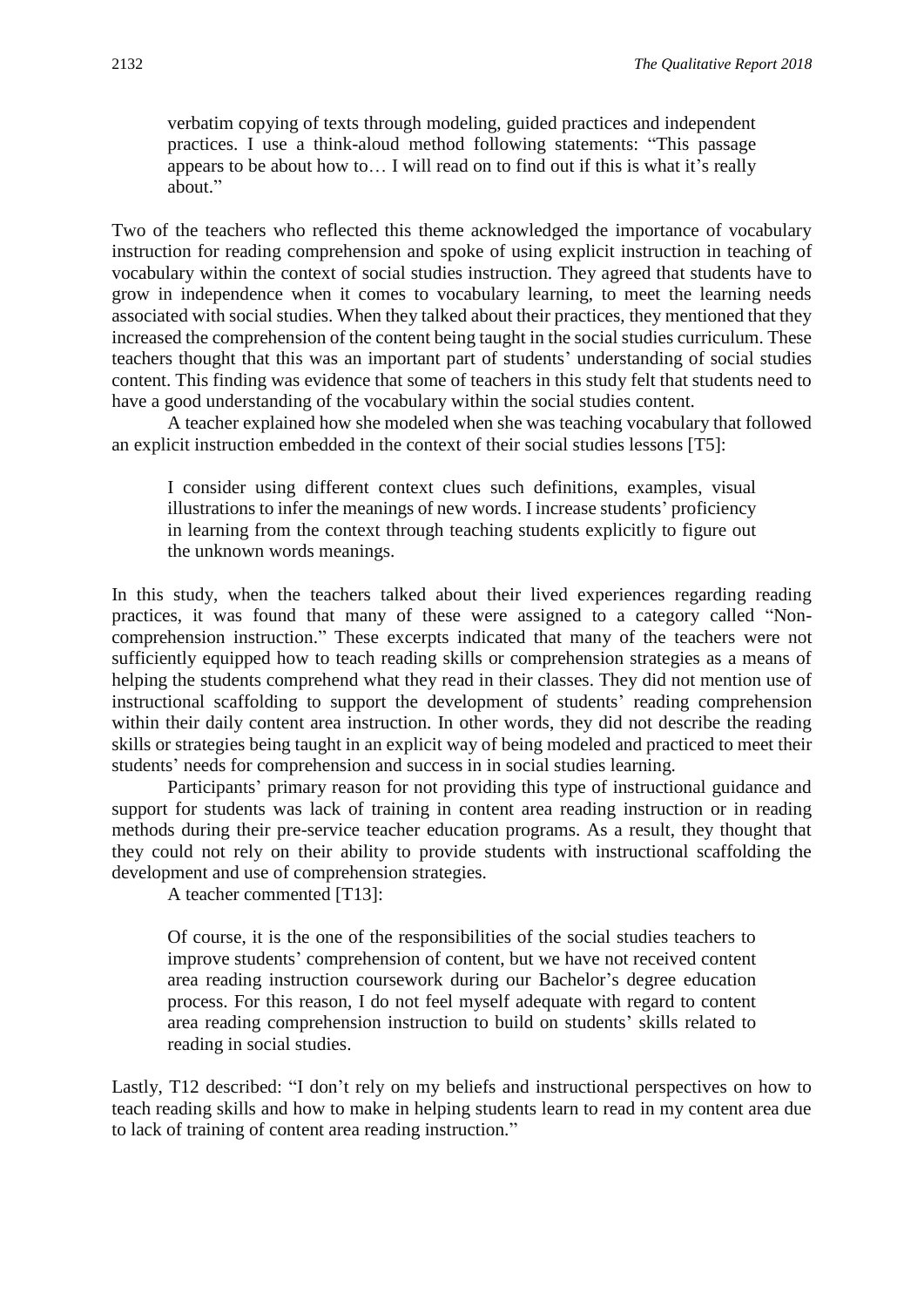verbatim copying of texts through modeling, guided practices and independent practices. I use a think-aloud method following statements: "This passage appears to be about how to… I will read on to find out if this is what it's really about."

Two of the teachers who reflected this theme acknowledged the importance of vocabulary instruction for reading comprehension and spoke of using explicit instruction in teaching of vocabulary within the context of social studies instruction. They agreed that students have to grow in independence when it comes to vocabulary learning, to meet the learning needs associated with social studies. When they talked about their practices, they mentioned that they increased the comprehension of the content being taught in the social studies curriculum. These teachers thought that this was an important part of students' understanding of social studies content. This finding was evidence that some of teachers in this study felt that students need to have a good understanding of the vocabulary within the social studies content.

A teacher explained how she modeled when she was teaching vocabulary that followed an explicit instruction embedded in the context of their social studies lessons [T5]:

I consider using different context clues such definitions, examples, visual illustrations to infer the meanings of new words. I increase students' proficiency in learning from the context through teaching students explicitly to figure out the unknown words meanings.

In this study, when the teachers talked about their lived experiences regarding reading practices, it was found that many of these were assigned to a category called "Noncomprehension instruction." These excerpts indicated that many of the teachers were not sufficiently equipped how to teach reading skills or comprehension strategies as a means of helping the students comprehend what they read in their classes. They did not mention use of instructional scaffolding to support the development of students' reading comprehension within their daily content area instruction. In other words, they did not describe the reading skills or strategies being taught in an explicit way of being modeled and practiced to meet their students' needs for comprehension and success in in social studies learning.

Participants' primary reason for not providing this type of instructional guidance and support for students was lack of training in content area reading instruction or in reading methods during their pre-service teacher education programs. As a result, they thought that they could not rely on their ability to provide students with instructional scaffolding the development and use of comprehension strategies.

A teacher commented [T13]:

Of course, it is the one of the responsibilities of the social studies teachers to improve students' comprehension of content, but we have not received content area reading instruction coursework during our Bachelor's degree education process. For this reason, I do not feel myself adequate with regard to content area reading comprehension instruction to build on students' skills related to reading in social studies.

Lastly, T12 described: "I don't rely on my beliefs and instructional perspectives on how to teach reading skills and how to make in helping students learn to read in my content area due to lack of training of content area reading instruction."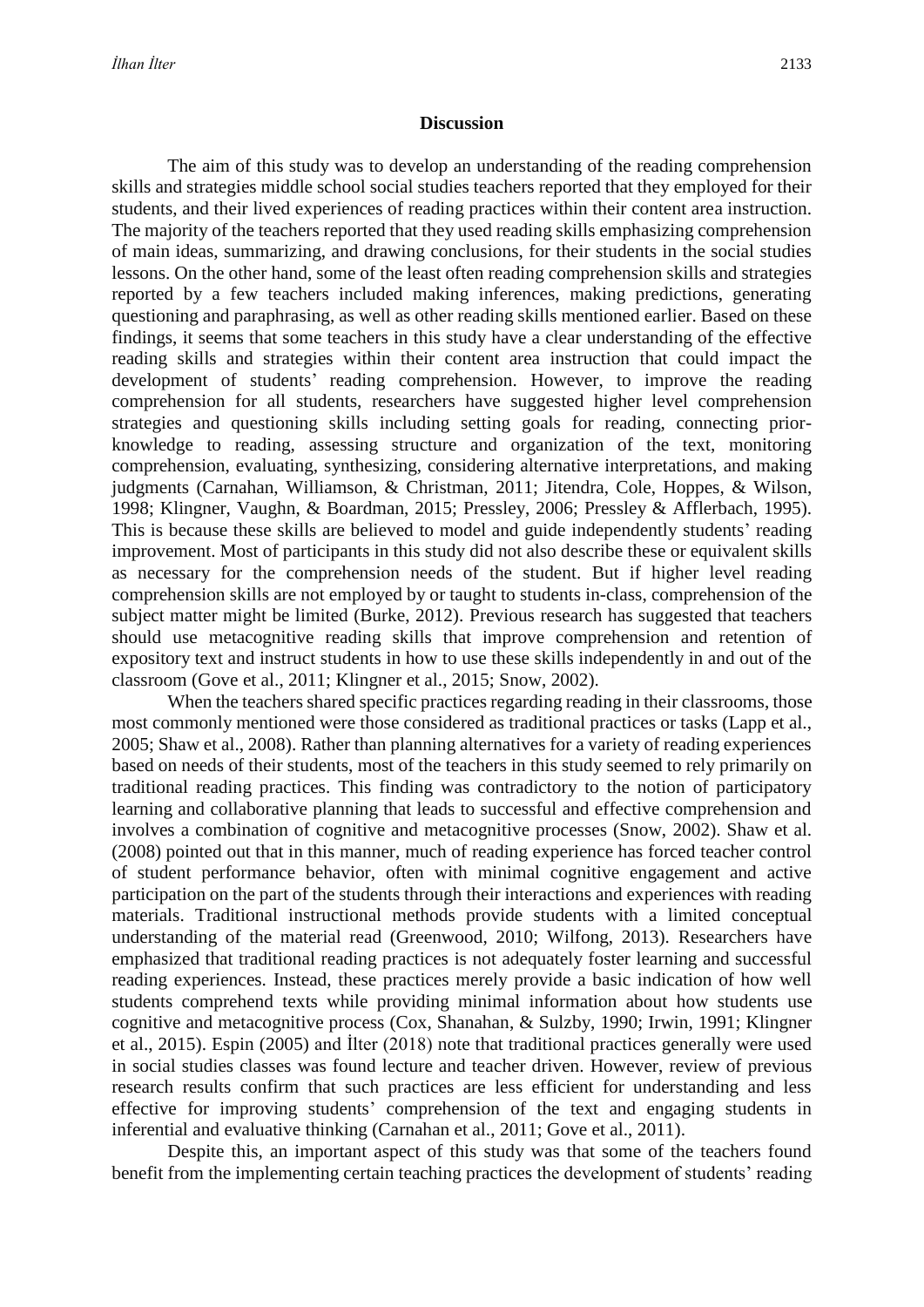#### **Discussion**

The aim of this study was to develop an understanding of the reading comprehension skills and strategies middle school social studies teachers reported that they employed for their students, and their lived experiences of reading practices within their content area instruction. The majority of the teachers reported that they used reading skills emphasizing comprehension of main ideas, summarizing, and drawing conclusions, for their students in the social studies lessons. On the other hand, some of the least often reading comprehension skills and strategies reported by a few teachers included making inferences, making predictions, generating questioning and paraphrasing, as well as other reading skills mentioned earlier. Based on these findings, it seems that some teachers in this study have a clear understanding of the effective reading skills and strategies within their content area instruction that could impact the development of students' reading comprehension. However, to improve the reading comprehension for all students, researchers have suggested higher level comprehension strategies and questioning skills including setting goals for reading, connecting priorknowledge to reading, assessing structure and organization of the text, monitoring comprehension, evaluating, synthesizing, considering alternative interpretations, and making judgments (Carnahan, Williamson, & Christman, 2011; Jitendra, Cole, Hoppes, & Wilson, 1998; Klingner, Vaughn, & Boardman, 2015; Pressley, 2006; Pressley & Afflerbach, 1995). This is because these skills are believed to model and guide independently students' reading improvement. Most of participants in this study did not also describe these or equivalent skills as necessary for the comprehension needs of the student. But if higher level reading comprehension skills are not employed by or taught to students in-class, comprehension of the subject matter might be limited (Burke, 2012). Previous research has suggested that teachers should use metacognitive reading skills that improve comprehension and retention of expository text and instruct students in how to use these skills independently in and out of the classroom (Gove et al., 2011; Klingner et al., 2015; Snow, 2002).

When the teachers shared specific practices regarding reading in their classrooms, those most commonly mentioned were those considered as traditional practices or tasks (Lapp et al., 2005; Shaw et al., 2008). Rather than planning alternatives for a variety of reading experiences based on needs of their students, most of the teachers in this study seemed to rely primarily on traditional reading practices. This finding was contradictory to the notion of participatory learning and collaborative planning that leads to successful and effective comprehension and involves a combination of cognitive and metacognitive processes (Snow, 2002). Shaw et al. (2008) pointed out that in this manner, much of reading experience has forced teacher control of student performance behavior, often with minimal cognitive engagement and active participation on the part of the students through their interactions and experiences with reading materials. Traditional instructional methods provide students with a limited conceptual understanding of the material read (Greenwood, 2010; Wilfong, 2013). Researchers have emphasized that traditional reading practices is not adequately foster learning and successful reading experiences. Instead, these practices merely provide a basic indication of how well students comprehend texts while providing minimal information about how students use cognitive and metacognitive process (Cox, Shanahan, & Sulzby, 1990; Irwin, 1991; Klingner et al., 2015). Espin (2005) and İlter (2018) note that traditional practices generally were used in social studies classes was found lecture and teacher driven. However, review of previous research results confirm that such practices are less efficient for understanding and less effective for improving students' comprehension of the text and engaging students in inferential and evaluative thinking (Carnahan et al., 2011; Gove et al., 2011).

Despite this, an important aspect of this study was that some of the teachers found benefit from the implementing certain teaching practices the development of students' reading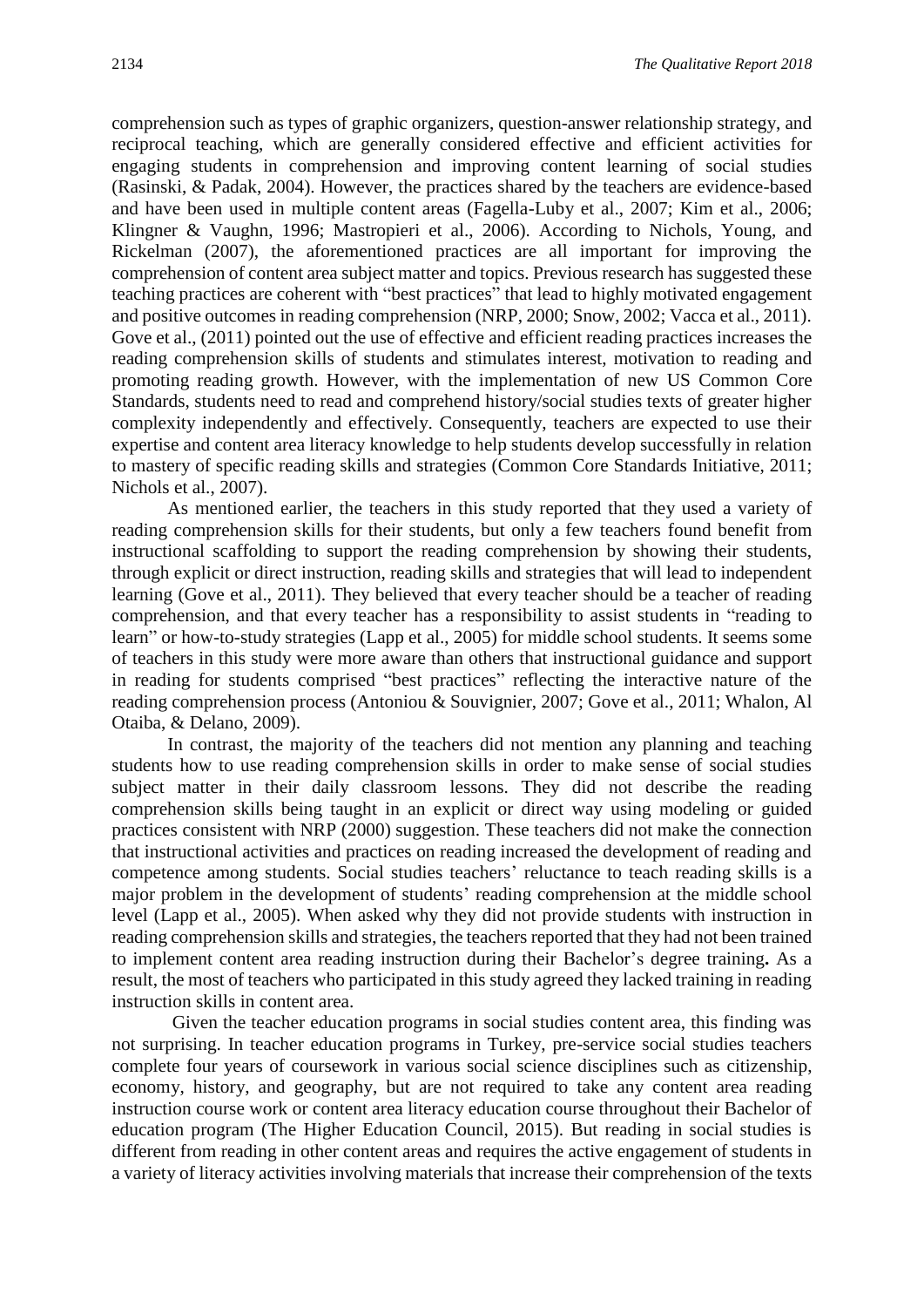comprehension such as types of graphic organizers, question-answer relationship strategy, and reciprocal teaching, which are generally considered effective and efficient activities for engaging students in comprehension and improving content learning of social studies (Rasinski, & Padak, 2004). However, the practices shared by the teachers are evidence-based and have been used in multiple content areas (Fagella-Luby et al., 2007; Kim et al., 2006; Klingner & Vaughn, 1996; Mastropieri et al., 2006). According to Nichols, Young, and Rickelman (2007), the aforementioned practices are all important for improving the comprehension of content area subject matter and topics. Previous research has suggested these teaching practices are coherent with "best practices" that lead to highly motivated engagement and positive outcomes in reading comprehension (NRP, 2000; Snow, 2002; Vacca et al., 2011). Gove et al., (2011) pointed out the use of effective and efficient reading practices increases the reading comprehension skills of students and stimulates interest, motivation to reading and promoting reading growth. However, with the implementation of new US Common Core Standards, students need to read and comprehend history/social studies texts of greater higher complexity independently and effectively. Consequently, teachers are expected to use their expertise and content area literacy knowledge to help students develop successfully in relation to mastery of specific reading skills and strategies (Common Core Standards Initiative, 2011; Nichols et al., 2007).

As mentioned earlier, the teachers in this study reported that they used a variety of reading comprehension skills for their students, but only a few teachers found benefit from instructional scaffolding to support the reading comprehension by showing their students, through explicit or direct instruction, reading skills and strategies that will lead to independent learning (Gove et al., 2011). They believed that every teacher should be a teacher of reading comprehension, and that every teacher has a responsibility to assist students in "reading to learn" or how-to-study strategies (Lapp et al., 2005) for middle school students. It seems some of teachers in this study were more aware than others that instructional guidance and support in reading for students comprised "best practices" reflecting the interactive nature of the reading comprehension process (Antoniou & Souvignier, 2007; Gove et al., 2011; Whalon, Al Otaiba, & Delano, 2009).

In contrast, the majority of the teachers did not mention any planning and teaching students how to use reading comprehension skills in order to make sense of social studies subject matter in their daily classroom lessons. They did not describe the reading comprehension skills being taught in an explicit or direct way using modeling or guided practices consistent with NRP (2000) suggestion. These teachers did not make the connection that instructional activities and practices on reading increased the development of reading and competence among students. Social studies teachers' reluctance to teach reading skills is a major problem in the development of students' reading comprehension at the middle school level (Lapp et al., 2005). When asked why they did not provide students with instruction in reading comprehension skills and strategies, the teachers reported that they had not been trained to implement content area reading instruction during their Bachelor's degree training**.** As a result, the most of teachers who participated in this study agreed they lacked training in reading instruction skills in content area.

Given the teacher education programs in social studies content area, this finding was not surprising. In teacher education programs in Turkey, pre-service social studies teachers complete four years of coursework in various social science disciplines such as citizenship, economy, history, and geography, but are not required to take any content area reading instruction course work or content area literacy education course throughout their Bachelor of education program (The Higher Education Council, 2015). But reading in social studies is different from reading in other content areas and requires the active engagement of students in a variety of literacy activities involving materials that increase their comprehension of the texts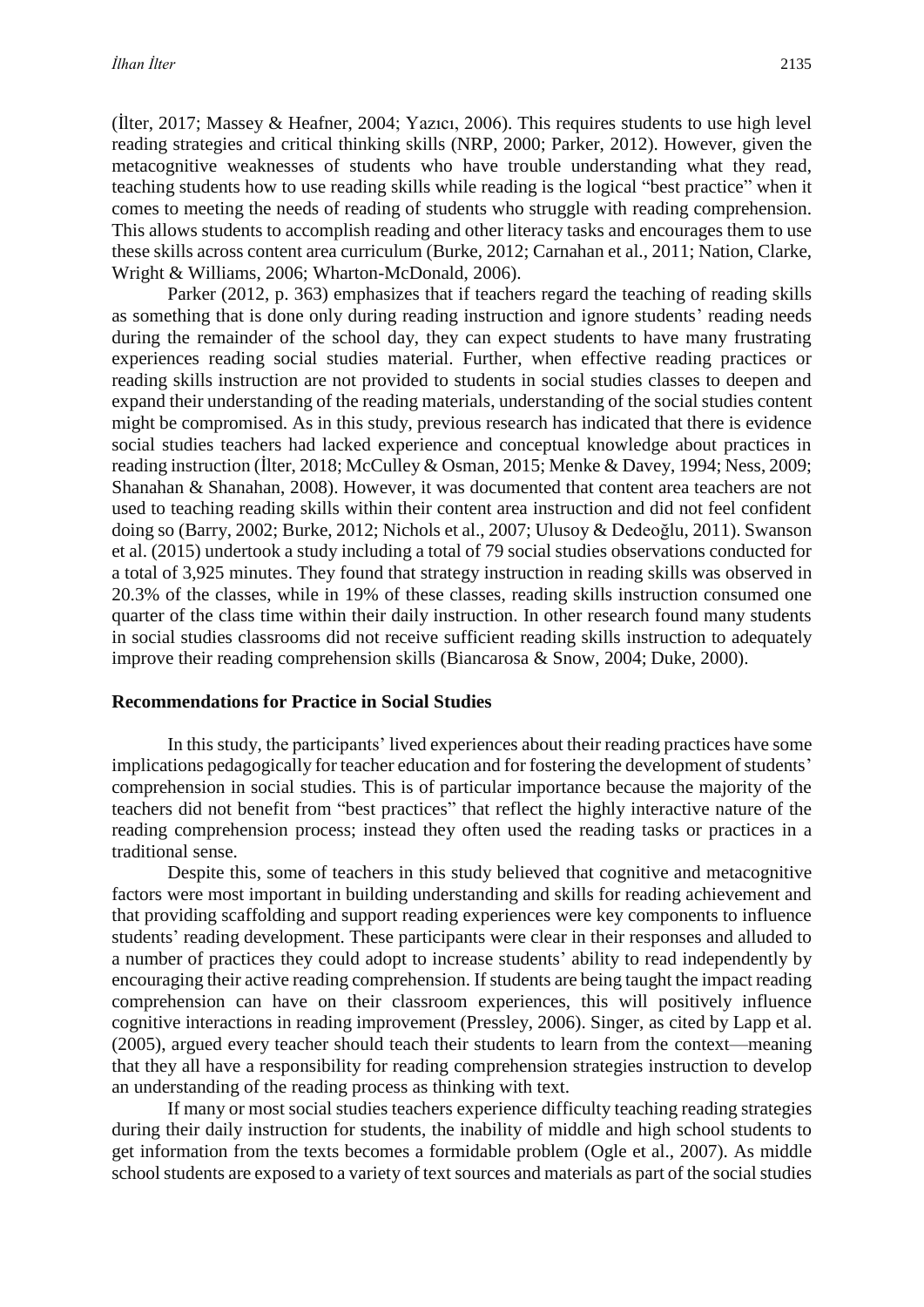(İlter, 2017; Massey & Heafner, 2004; Yazıcı, 2006). This requires students to use high level reading strategies and critical thinking skills (NRP, 2000; Parker, 2012). However, given the metacognitive weaknesses of students who have trouble understanding what they read, teaching students how to use reading skills while reading is the logical "best practice" when it comes to meeting the needs of reading of students who struggle with reading comprehension. This allows students to accomplish reading and other literacy tasks and encourages them to use these skills across content area curriculum (Burke, 2012; Carnahan et al., 2011; Nation, Clarke, Wright & Williams, 2006; Wharton-McDonald, 2006).

Parker (2012, p. 363) emphasizes that if teachers regard the teaching of reading skills as something that is done only during reading instruction and ignore students' reading needs during the remainder of the school day, they can expect students to have many frustrating experiences reading social studies material. Further, when effective reading practices or reading skills instruction are not provided to students in social studies classes to deepen and expand their understanding of the reading materials, understanding of the social studies content might be compromised. As in this study, previous research has indicated that there is evidence social studies teachers had lacked experience and conceptual knowledge about practices in reading instruction (İlter, 2018; McCulley & Osman, 2015; Menke & Davey, 1994; Ness, 2009; Shanahan & Shanahan, 2008). However, it was documented that content area teachers are not used to teaching reading skills within their content area instruction and did not feel confident doing so (Barry, 2002; Burke, 2012; Nichols et al., 2007; Ulusoy & Dedeoğlu, 2011). Swanson et al. (2015) undertook a study including a total of 79 social studies observations conducted for a total of 3,925 minutes. They found that strategy instruction in reading skills was observed in 20.3% of the classes, while in 19% of these classes, reading skills instruction consumed one quarter of the class time within their daily instruction. In other research found many students in social studies classrooms did not receive sufficient reading skills instruction to adequately improve their reading comprehension skills (Biancarosa & Snow, 2004; Duke, 2000).

#### **Recommendations for Practice in Social Studies**

In this study, the participants' lived experiences about their reading practices have some implications pedagogically for teacher education and for fostering the development of students' comprehension in social studies. This is of particular importance because the majority of the teachers did not benefit from "best practices" that reflect the highly interactive nature of the reading comprehension process; instead they often used the reading tasks or practices in a traditional sense.

Despite this, some of teachers in this study believed that cognitive and metacognitive factors were most important in building understanding and skills for reading achievement and that providing scaffolding and support reading experiences were key components to influence students' reading development. These participants were clear in their responses and alluded to a number of practices they could adopt to increase students' ability to read independently by encouraging their active reading comprehension. If students are being taught the impact reading comprehension can have on their classroom experiences, this will positively influence cognitive interactions in reading improvement (Pressley, 2006). Singer, as cited by Lapp et al. (2005), argued every teacher should teach their students to learn from the context—meaning that they all have a responsibility for reading comprehension strategies instruction to develop an understanding of the reading process as thinking with text.

If many or most social studies teachers experience difficulty teaching reading strategies during their daily instruction for students, the inability of middle and high school students to get information from the texts becomes a formidable problem (Ogle et al., 2007). As middle school students are exposed to a variety of text sources and materials as part of the social studies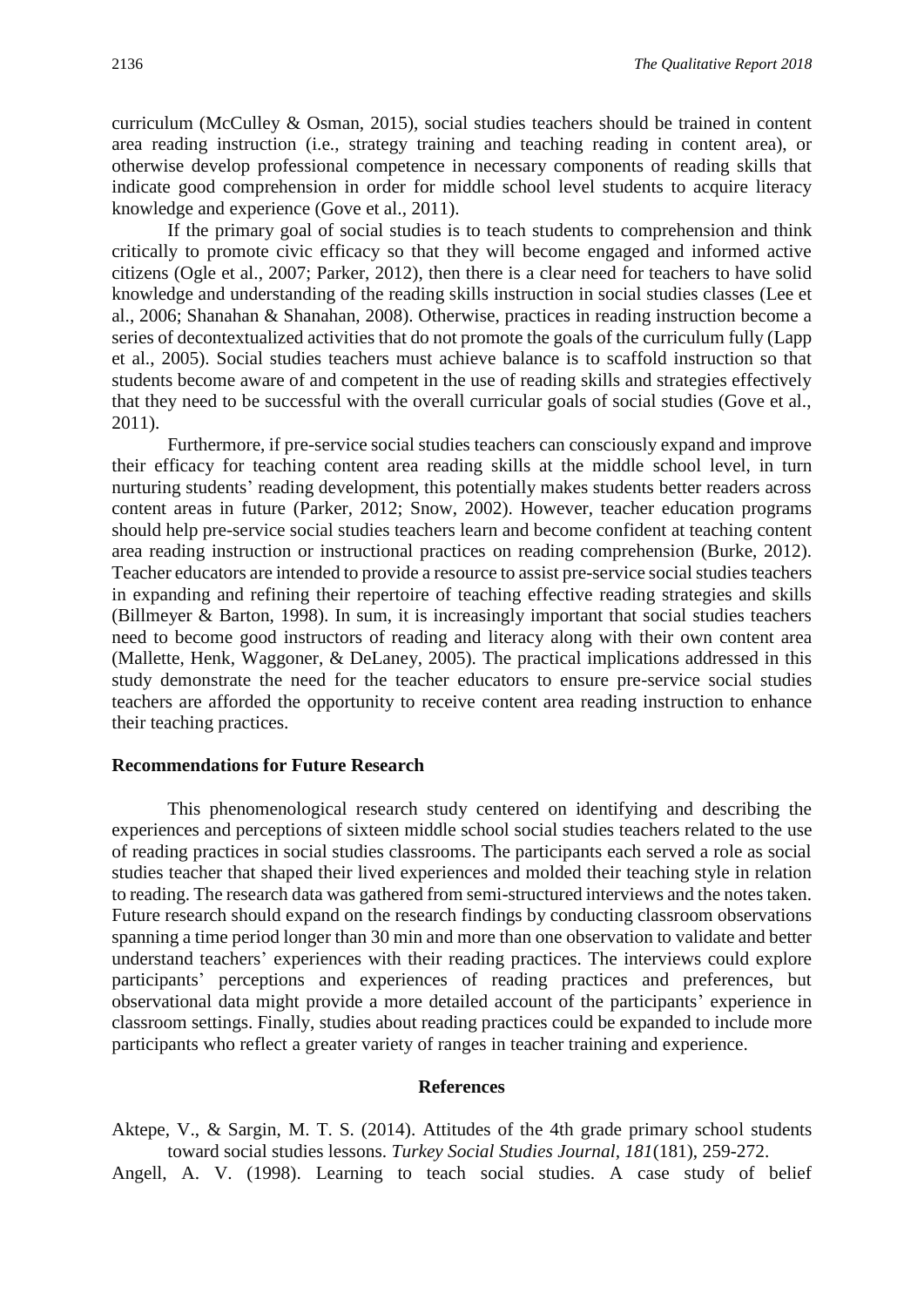curriculum (McCulley & Osman, 2015), social studies teachers should be trained in content area reading instruction (i.e., strategy training and teaching reading in content area), or otherwise develop professional competence in necessary components of reading skills that indicate good comprehension in order for middle school level students to acquire literacy knowledge and experience (Gove et al., 2011).

If the primary goal of social studies is to teach students to comprehension and think critically to promote civic efficacy so that they will become engaged and informed active citizens (Ogle et al., 2007; Parker, 2012), then there is a clear need for teachers to have solid knowledge and understanding of the reading skills instruction in social studies classes (Lee et al., 2006; Shanahan & Shanahan, 2008). Otherwise, practices in reading instruction become a series of decontextualized activities that do not promote the goals of the curriculum fully (Lapp et al., 2005). Social studies teachers must achieve balance is to scaffold instruction so that students become aware of and competent in the use of reading skills and strategies effectively that they need to be successful with the overall curricular goals of social studies (Gove et al., 2011).

Furthermore, if pre-service social studies teachers can consciously expand and improve their efficacy for teaching content area reading skills at the middle school level, in turn nurturing students' reading development, this potentially makes students better readers across content areas in future (Parker, 2012; Snow, 2002). However, teacher education programs should help pre-service social studies teachers learn and become confident at teaching content area reading instruction or instructional practices on reading comprehension (Burke, 2012). Teacher educators are intended to provide a resource to assist pre-service social studies teachers in expanding and refining their repertoire of teaching effective reading strategies and skills (Billmeyer & Barton, 1998). In sum, it is increasingly important that social studies teachers need to become good instructors of reading and literacy along with their own content area (Mallette, Henk, Waggoner, & DeLaney, 2005). The practical implications addressed in this study demonstrate the need for the teacher educators to ensure pre-service social studies teachers are afforded the opportunity to receive content area reading instruction to enhance their teaching practices.

#### **Recommendations for Future Research**

This phenomenological research study centered on identifying and describing the experiences and perceptions of sixteen middle school social studies teachers related to the use of reading practices in social studies classrooms. The participants each served a role as social studies teacher that shaped their lived experiences and molded their teaching style in relation to reading. The research data was gathered from semi-structured interviews and the notes taken. Future research should expand on the research findings by conducting classroom observations spanning a time period longer than 30 min and more than one observation to validate and better understand teachers' experiences with their reading practices. The interviews could explore participants' perceptions and experiences of reading practices and preferences, but observational data might provide a more detailed account of the participants' experience in classroom settings. Finally, studies about reading practices could be expanded to include more participants who reflect a greater variety of ranges in teacher training and experience.

#### **References**

Aktepe, V., & Sargin, M. T. S. (2014). Attitudes of the 4th grade primary school students toward social studies lessons. *Turkey Social Studies Journal, 181*(181), 259-272.

Angell, A. V. (1998). Learning to teach social studies. A case study of belief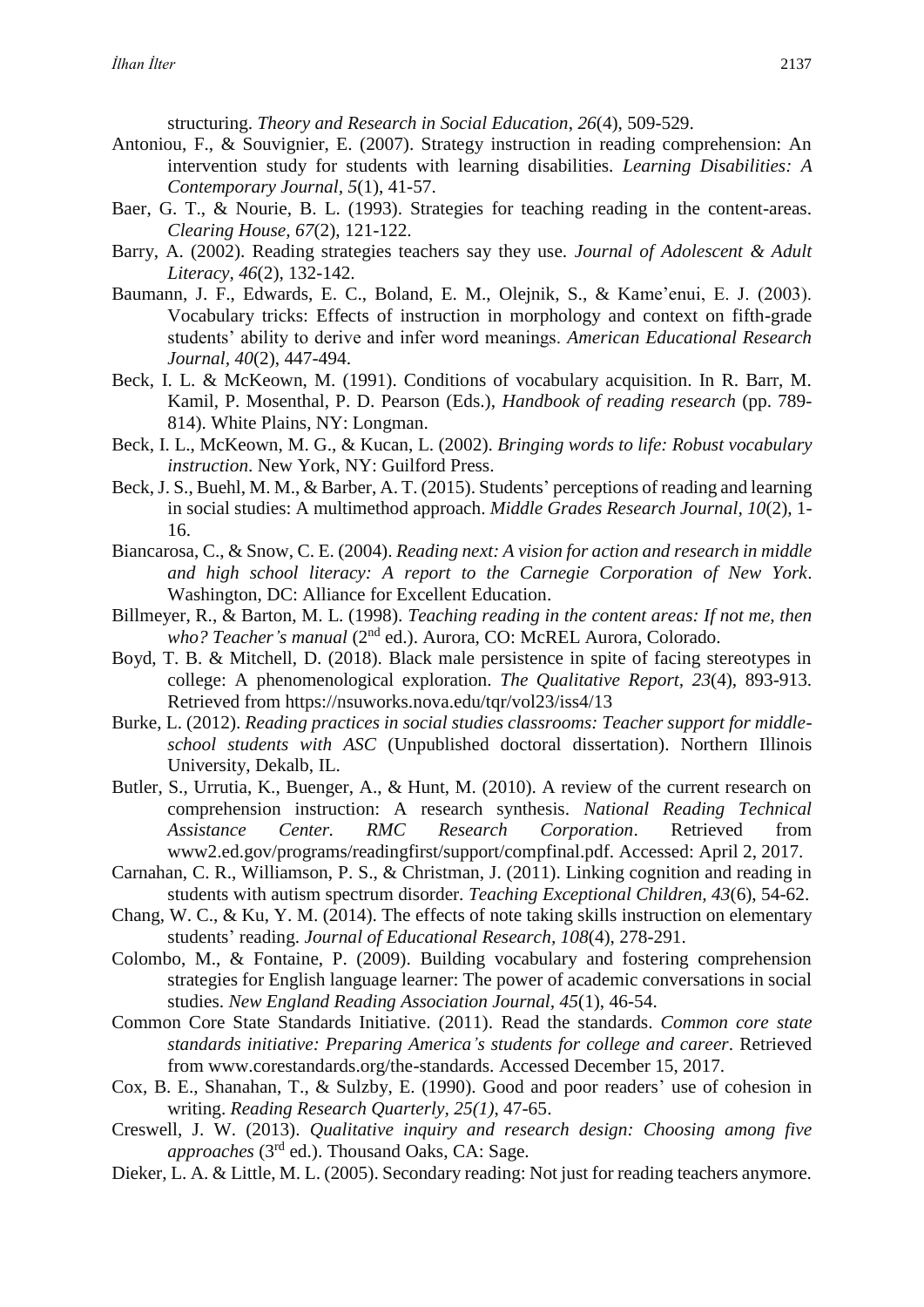structuring. *Theory and Research in Social Education*, *26*(4), 509-529.

- Antoniou, F., & Souvignier, E. (2007). Strategy instruction in reading comprehension: An intervention study for students with learning disabilities. *Learning Disabilities: A Contemporary Journal, 5*(1), 41-57.
- Baer, G. T., & Nourie, B. L. (1993). Strategies for teaching reading in the content-areas. *Clearing House, 67*(2), 121-122.
- Barry, A. (2002). Reading strategies teachers say they use. *Journal of Adolescent & Adult Literacy, 46*(2), 132-142.
- Baumann, J. F., Edwards, E. C., Boland, E. M., Olejnik, S., & Kame'enui, E. J. (2003). Vocabulary tricks: Effects of instruction in morphology and context on fifth-grade students' ability to derive and infer word meanings. *American Educational Research Journal, 40*(2), 447-494.
- Beck, I. L. & McKeown, M. (1991). Conditions of vocabulary acquisition. In R. Barr, M. Kamil, P. Mosenthal, P. D. Pearson (Eds.), *Handbook of reading research* (pp. 789- 814). White Plains, NY: Longman.
- Beck, I. L., McKeown, M. G., & Kucan, L. (2002). *Bringing words to life: Robust vocabulary instruction*. New York, NY: Guilford Press.
- Beck, J. S., Buehl, M. M., & Barber, A. T. (2015). Students' perceptions of reading and learning in social studies: A multimethod approach. *Middle Grades Research Journal, 10*(2), 1- 16.
- Biancarosa, C., & Snow, C. E. (2004). *Reading next: A vision for action and research in middle and high school literacy: A report to the Carnegie Corporation of New York*. Washington, DC: Alliance for Excellent Education.
- Billmeyer, R., & Barton, M. L. (1998). *Teaching reading in the content areas: If not me, then who? Teacher's manual* (2nd ed.). Aurora, CO: McREL Aurora, Colorado.
- Boyd, T. B. & Mitchell, D. (2018). Black male persistence in spite of facing stereotypes in college: A phenomenological exploration. *The Qualitative Report, 23*(4), 893-913. Retrieved from https://nsuworks.nova.edu/tqr/vol23/iss4/13
- Burke, L. (2012). *Reading practices in social studies classrooms: Teacher support for middleschool students with ASC* (Unpublished doctoral dissertation). Northern Illinois University, Dekalb, IL.
- Butler, S., Urrutia, K., Buenger, A., & Hunt, M. (2010). A review of the current research on comprehension instruction: A research synthesis. *National Reading Technical Assistance Center. RMC Research Corporation*. Retrieved from www2.ed.gov/programs/readingfirst/support/compfinal.pdf. Accessed: April 2, 2017.
- Carnahan, C. R., Williamson, P. S., & Christman, J. (2011). Linking cognition and reading in students with autism spectrum disorder. *Teaching Exceptional Children, 43*(6), 54-62.
- Chang, W. C., & Ku, Y. M. (2014). The effects of note taking skills instruction on elementary students' reading. *Journal of Educational Research, 108*(4), 278-291.
- Colombo, M., & Fontaine, P. (2009). Building vocabulary and fostering comprehension strategies for English language learner: The power of academic conversations in social studies. *New England Reading Association Journal, 45*(1), 46-54.
- Common Core State Standards Initiative. (2011). Read the standards. *Common core state standards initiative: Preparing America's students for college and career*. Retrieved from www.corestandards.org/the-standards. Accessed December 15, 2017.
- Cox, B. E., Shanahan, T., & Sulzby, E. (1990). Good and poor readers' use of cohesion in writing. *Reading Research Quarterly, 25(1)*, 47-65.
- Creswell, J. W. (2013). *Qualitative inquiry and research design: Choosing among five approaches* (3rd ed.). Thousand Oaks, CA: Sage.
- Dieker, L. A. & Little, M. L. (2005). Secondary reading: Not just for reading teachers anymore.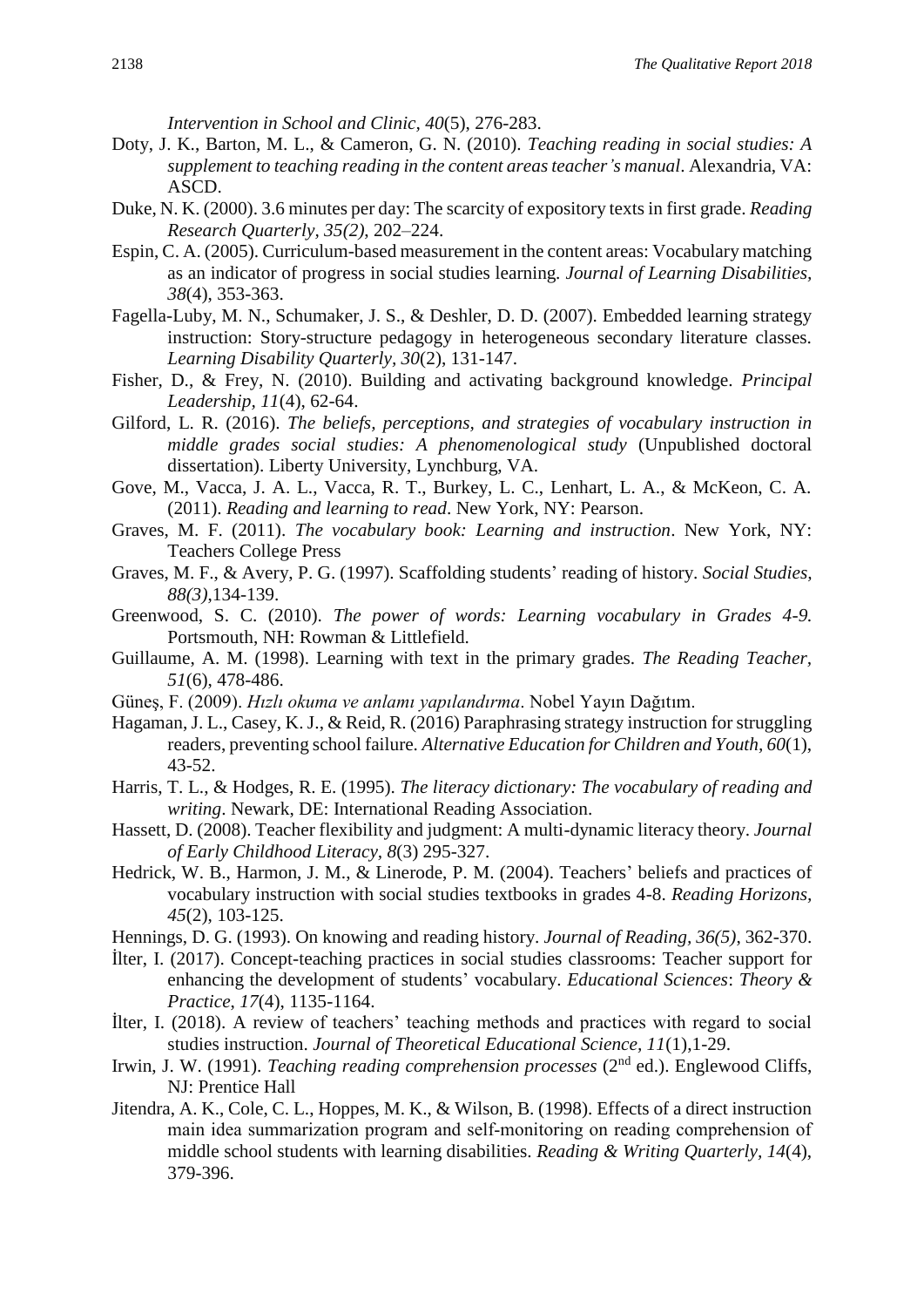*Intervention in School and Clinic, 40*(5), 276-283.

- Doty, J. K., Barton, M. L., & Cameron, G. N. (2010). *Teaching reading in social studies: A supplement to teaching reading in the content areas teacher's manual*. Alexandria, VA: ASCD.
- Duke, N. K. (2000). 3.6 minutes per day: The scarcity of expository texts in first grade. *Reading Research Quarterly, 35(2)*, 202–224.
- Espin, C. A. (2005). Curriculum-based measurement in the content areas: Vocabulary matching as an indicator of progress in social studies learning*. Journal of Learning Disabilities, 38*(4), 353-363.
- Fagella-Luby, M. N., Schumaker, J. S., & Deshler, D. D. (2007). Embedded learning strategy instruction: Story-structure pedagogy in heterogeneous secondary literature classes. *Learning Disability Quarterly, 30*(2), 131-147.
- Fisher, D., & Frey, N. (2010). Building and activating background knowledge. *Principal Leadership, 11*(4), 62-64.
- Gilford, L. R. (2016). *The beliefs, perceptions, and strategies of vocabulary instruction in middle grades social studies: A phenomenological study* (Unpublished doctoral dissertation). Liberty University, Lynchburg, VA.
- Gove, M., Vacca, J. A. L., Vacca, R. T., Burkey, L. C., Lenhart, L. A., & McKeon, C. A. (2011). *Reading and learning to read*. New York, NY: Pearson.
- Graves, M. F. (2011). *The vocabulary book: Learning and instruction*. New York, NY: Teachers College Press
- Graves, M. F., & Avery, P. G. (1997). Scaffolding students' reading of history. *Social Studies, 88(3)*,134-139.
- Greenwood, S. C. (2010). *The power of words: Learning vocabulary in Grades 4-9.* Portsmouth, NH: Rowman & Littlefield.
- Guillaume, A. M. (1998). Learning with text in the primary grades. *The Reading Teacher, 51*(6), 478-486.
- Güneş, F. (2009). *Hızlı okuma ve anlamı yapılandırma*. Nobel Yayın Dağıtım.
- Hagaman, J. L., Casey, K. J., & Reid, R. (2016) Paraphrasing strategy instruction for struggling readers, preventing school failure. *Alternative Education for Children and Youth, 60*(1), 43-52.
- Harris, T. L., & Hodges, R. E. (1995). *The literacy dictionary: The vocabulary of reading and writing*. Newark, DE: International Reading Association.
- Hassett, D. (2008). Teacher flexibility and judgment: A multi-dynamic literacy theory. *Journal of Early Childhood Literacy, 8*(3) 295-327.
- Hedrick, W. B., Harmon, J. M., & Linerode, P. M. (2004). Teachers' beliefs and practices of vocabulary instruction with social studies textbooks in grades 4-8. *Reading Horizons, 45*(2), 103-125.
- Hennings, D. G. (1993). On knowing and reading history. *Journal of Reading, 36(5)*, 362-370.
- İlter, I. (2017). Concept-teaching practices in social studies classrooms: Teacher support for enhancing the development of students' vocabulary. *Educational Sciences*: *Theory & Practice*, *17*(4), 1135-1164.
- İlter, I. (2018). A review of teachers' teaching methods and practices with regard to social studies instruction. *Journal of Theoretical Educational Science, 11*(1),1-29.
- Irwin, J. W. (1991). *Teaching reading comprehension processes* (2<sup>nd</sup> ed.). Englewood Cliffs, NJ: Prentice Hall
- Jitendra, A. K., Cole, C. L., Hoppes, M. K., & Wilson, B. (1998). Effects of a direct instruction main idea summarization program and self‐monitoring on reading comprehension of middle school students with learning disabilities. *Reading & Writing Quarterly, 14*(4), 379-396.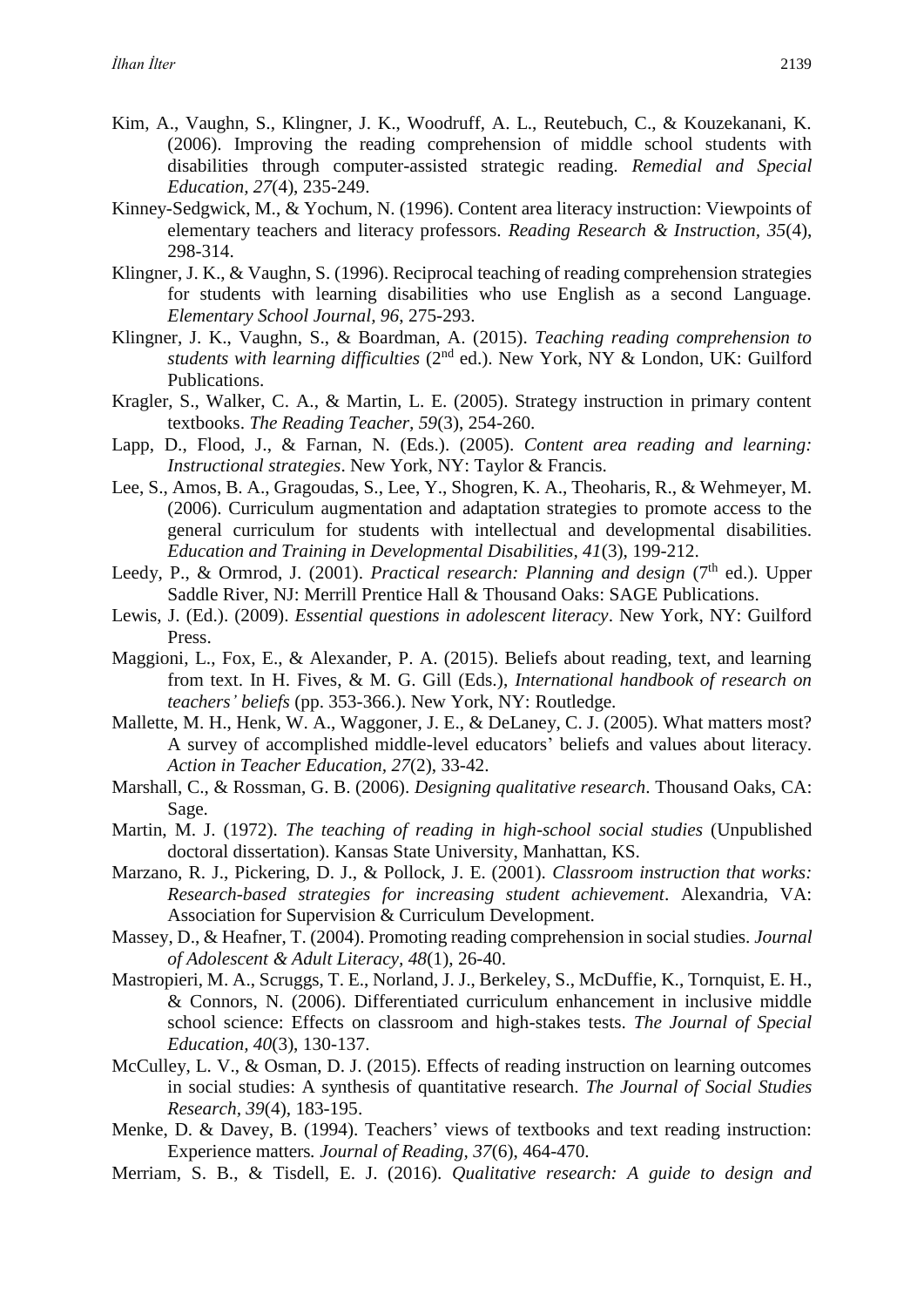- Kim, A., Vaughn, S., Klingner, J. K., Woodruff, A. L., Reutebuch, C., & Kouzekanani, K. (2006). Improving the reading comprehension of middle school students with disabilities through computer-assisted strategic reading. *Remedial and Special Education, 27*(4), 235-249.
- Kinney-Sedgwick, M., & Yochum, N. (1996). Content area literacy instruction: Viewpoints of elementary teachers and literacy professors. *Reading Research & Instruction, 35*(4), 298-314.
- Klingner, J. K., & Vaughn, S. (1996). Reciprocal teaching of reading comprehension strategies for students with learning disabilities who use English as a second Language. *Elementary School Journal, 96*, 275-293.
- Klingner, J. K., Vaughn, S., & Boardman, A. (2015). *Teaching reading comprehension to* students with learning difficulties (2<sup>nd</sup> ed.). New York, NY & London, UK: Guilford Publications.
- Kragler, S., Walker, C. A., & Martin, L. E. (2005). Strategy instruction in primary content textbooks. *The Reading Teacher, 59*(3), 254-260.
- Lapp, D., Flood, J., & Farnan, N. (Eds.). (2005). *Content area reading and learning: Instructional strategies*. New York, NY: Taylor & Francis.
- Lee, S., Amos, B. A., Gragoudas, S., Lee, Y., Shogren, K. A., Theoharis, R., & Wehmeyer, M. (2006). Curriculum augmentation and adaptation strategies to promote access to the general curriculum for students with intellectual and developmental disabilities. *Education and Training in Developmental Disabilities, 41*(3), 199-212.
- Leedy, P., & Ormrod, J. (2001). *Practical research: Planning and design* (7<sup>th</sup> ed.). Upper Saddle River, NJ: Merrill Prentice Hall & Thousand Oaks: SAGE Publications.
- Lewis, J. (Ed.). (2009). *Essential questions in adolescent literacy*. New York, NY: Guilford Press.
- Maggioni, L., Fox, E., & Alexander, P. A. (2015). Beliefs about reading, text, and learning from text. In H. Fives, & M. G. Gill (Eds.), *International handbook of research on teachers' beliefs* (pp. 353-366.). New York, NY: Routledge.
- Mallette, M. H., Henk, W. A., Waggoner, J. E., & DeLaney, C. J. (2005). What matters most? A survey of accomplished middle-level educators' beliefs and values about literacy. *Action in Teacher Education, 27*(2), 33-42.
- Marshall, C., & Rossman, G. B. (2006). *Designing qualitative research*. Thousand Oaks, CA: Sage.
- Martin, M. J. (1972). *The teaching of reading in high-school social studies* (Unpublished doctoral dissertation). Kansas State University, Manhattan, KS.
- Marzano, R. J., Pickering, D. J., & Pollock, J. E. (2001). *Classroom instruction that works: Research-based strategies for increasing student achievement*. Alexandria, VA: Association for Supervision & Curriculum Development.
- Massey, D., & Heafner, T. (2004). Promoting reading comprehension in social studies. *Journal of Adolescent & Adult Literacy, 48*(1), 26-40.
- Mastropieri, M. A., Scruggs, T. E., Norland, J. J., Berkeley, S., McDuffie, K., Tornquist, E. H., & Connors, N. (2006). Differentiated curriculum enhancement in inclusive middle school science: Effects on classroom and high-stakes tests. *The Journal of Special Education, 40*(3), 130-137.
- McCulley, L. V., & Osman, D. J. (2015). Effects of reading instruction on learning outcomes in social studies: A synthesis of quantitative research. *The Journal of Social Studies Research, 39*(4), 183-195.
- Menke, D. & Davey, B. (1994). Teachers' views of textbooks and text reading instruction: Experience matters*. Journal of Reading, 37*(6), 464-470.
- Merriam, S. B., & Tisdell, E. J. (2016). *Qualitative research: A guide to design and*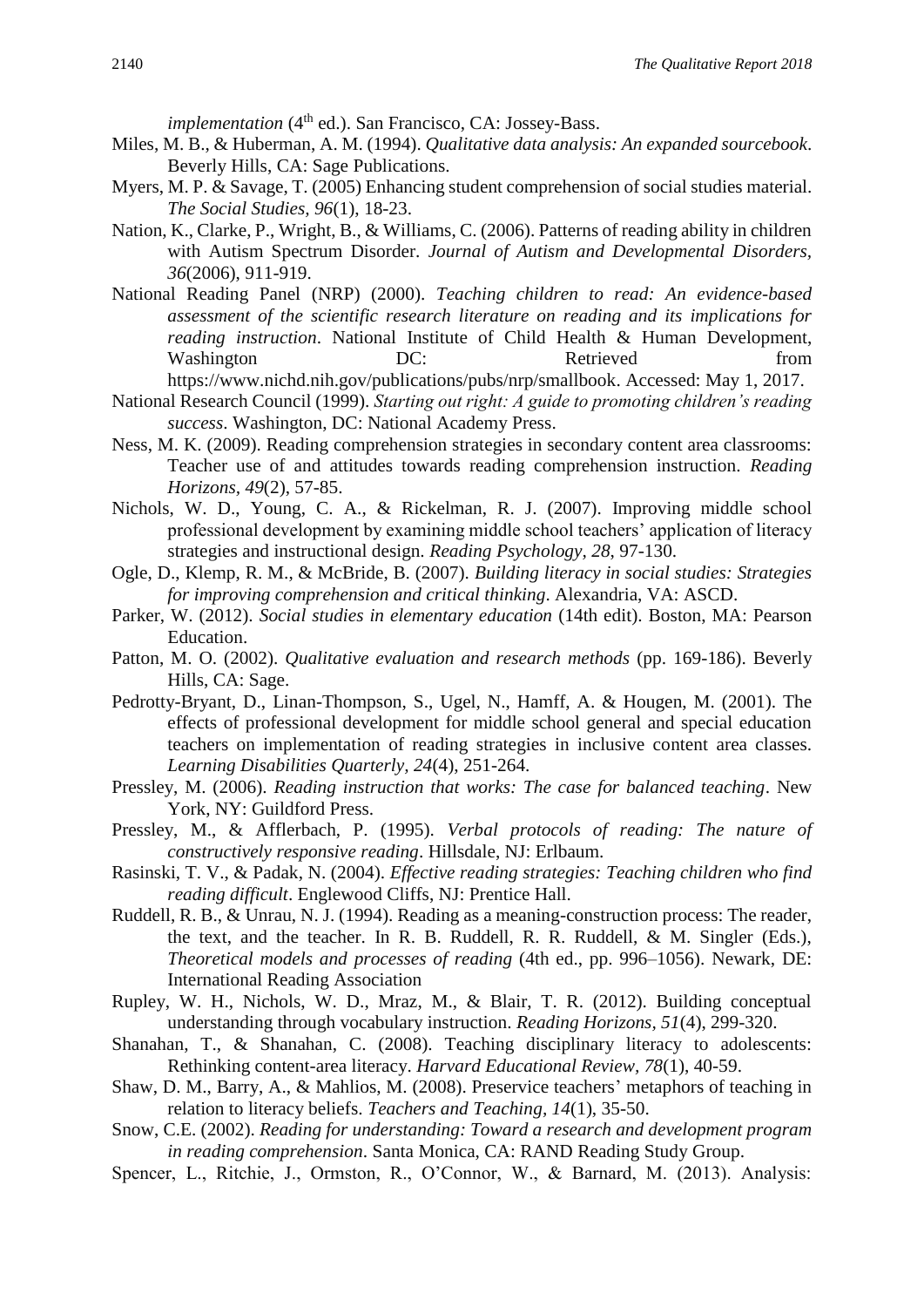*implementation* (4<sup>th</sup> ed.). San Francisco, CA: Jossey-Bass.

- Miles, M. B., & Huberman, A. M. (1994). *Qualitative data analysis: An expanded sourcebook*. Beverly Hills, CA: Sage Publications.
- Myers, M. P. & Savage, T. (2005) Enhancing student comprehension of social studies material. *The Social Studies, 96*(1), 18-23.
- Nation, K., Clarke, P., Wright, B., & Williams, C. (2006). Patterns of reading ability in children with Autism Spectrum Disorder. *Journal of Autism and Developmental Disorders, 36*(2006), 911-919.
- National Reading Panel (NRP) (2000). *Teaching children to read: An evidence-based assessment of the scientific research literature on reading and its implications for reading instruction*. National Institute of Child Health & Human Development, Washington  $DC$ : Retrieved from
	- https://www.nichd.nih.gov/publications/pubs/nrp/smallbook. Accessed: May 1, 2017.
- National Research Council (1999). *Starting out right: A guide to promoting children's reading success*. Washington, DC: National Academy Press.
- Ness, M. K. (2009). Reading comprehension strategies in secondary content area classrooms: Teacher use of and attitudes towards reading comprehension instruction. *Reading Horizons, 49*(2), 57-85.
- Nichols, W. D., Young, C. A., & Rickelman, R. J. (2007). Improving middle school professional development by examining middle school teachers' application of literacy strategies and instructional design. *Reading Psychology, 28*, 97-130.
- Ogle, D., Klemp, R. M., & McBride, B. (2007). *Building literacy in social studies: Strategies for improving comprehension and critical thinking*. Alexandria, VA: ASCD.
- Parker, W. (2012). *Social studies in elementary education* (14th edit). Boston, MA: Pearson Education.
- Patton, M. O. (2002). *Qualitative evaluation and research methods* (pp. 169-186). Beverly Hills, CA: Sage.
- Pedrotty-Bryant, D., Linan-Thompson, S., Ugel, N., Hamff, A. & Hougen, M. (2001). The effects of professional development for middle school general and special education teachers on implementation of reading strategies in inclusive content area classes. *Learning Disabilities Quarterly, 24*(4), 251-264.
- Pressley, M. (2006). *Reading instruction that works: The case for balanced teaching*. New York, NY: Guildford Press.
- Pressley, M., & Afflerbach, P. (1995). *Verbal protocols of reading: The nature of constructively responsive reading*. Hillsdale, NJ: Erlbaum.
- Rasinski, T. V., & Padak, N. (2004). *Effective reading strategies: Teaching children who find reading difficult*. Englewood Cliffs, NJ: Prentice Hall.
- Ruddell, R. B., & Unrau, N. J. (1994). Reading as a meaning-construction process: The reader, the text, and the teacher. In R. B. Ruddell, R. R. Ruddell, & M. Singler (Eds.), *Theoretical models and processes of reading* (4th ed., pp. 996–1056). Newark, DE: International Reading Association
- Rupley, W. H., Nichols, W. D., Mraz, M., & Blair, T. R. (2012). Building conceptual understanding through vocabulary instruction. *Reading Horizons, 51*(4), 299-320.
- Shanahan, T., & Shanahan, C. (2008). Teaching disciplinary literacy to adolescents: Rethinking content-area literacy. *Harvard Educational Review, 78*(1), 40-59.
- Shaw, D. M., Barry, A., & Mahlios, M. (2008). Preservice teachers' metaphors of teaching in relation to literacy beliefs. *Teachers and Teaching, 14*(1), 35-50.
- Snow, C.E. (2002). *Reading for understanding: Toward a research and development program in reading comprehension*. Santa Monica, CA: RAND Reading Study Group.
- Spencer, L., Ritchie, J., Ormston, R., O'Connor, W., & Barnard, M. (2013). Analysis: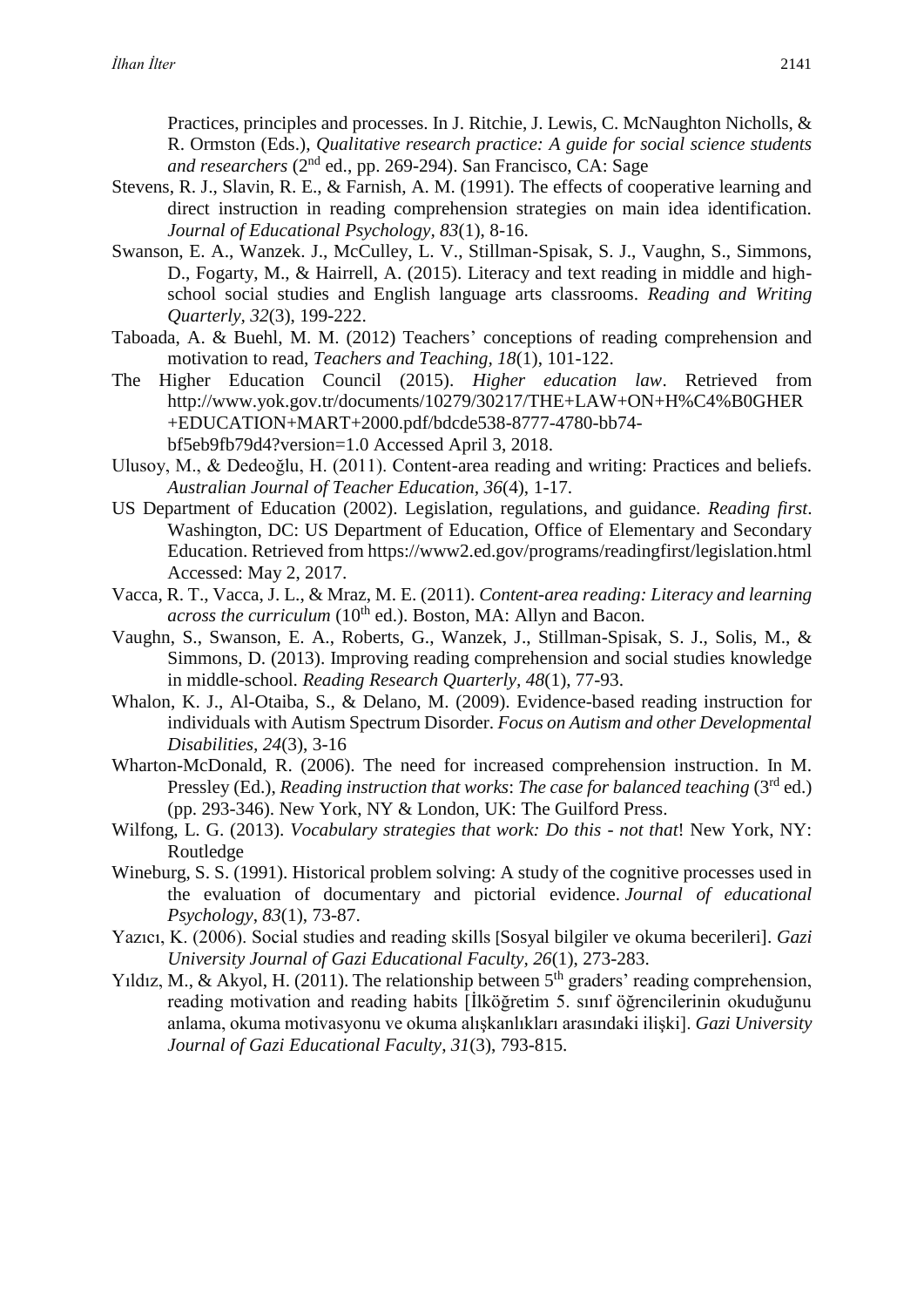Practices, principles and processes. In J. Ritchie, J. Lewis, C. McNaughton Nicholls, & R. Ormston (Eds.), *Qualitative research practice: A guide for social science students and researchers* (2nd ed., pp. 269-294). San Francisco, CA: Sage

- Stevens, R. J., Slavin, R. E., & Farnish, A. M. (1991). The effects of cooperative learning and direct instruction in reading comprehension strategies on main idea identification. *Journal of Educational Psychology, 83*(1), 8-16.
- Swanson, E. A., Wanzek. J., McCulley, L. V., Stillman-Spisak, S. J., Vaughn, S., Simmons, D., Fogarty, M., & Hairrell, A. (2015). Literacy and text reading in middle and highschool social studies and English language arts classrooms. *Reading and Writing Quarterly, 32*(3), 199-222.
- Taboada, A. & Buehl, M. M. (2012) Teachers' conceptions of reading comprehension and motivation to read, *Teachers and Teaching, 18*(1), 101-122.
- The Higher Education Council (2015). *Higher education law*. Retrieved from http://www.yok.gov.tr/documents/10279/30217/THE+LAW+ON+H%C4%B0GHER +EDUCATION+MART+2000.pdf/bdcde538-8777-4780-bb74 bf5eb9fb79d4?version=1.0 Accessed April 3, 2018.
- Ulusoy, M., & Dedeoğlu, H. (2011). Content-area reading and writing: Practices and beliefs. *Australian Journal of Teacher Education, 36*(4), 1-17.
- US Department of Education (2002). Legislation, regulations, and guidance. *Reading first*. Washington, DC: US Department of Education, Office of Elementary and Secondary Education. Retrieved from https://www2.ed.gov/programs/readingfirst/legislation.html Accessed: May 2, 2017.
- Vacca, R. T., Vacca, J. L., & Mraz, M. E. (2011). *Content-area reading: Literacy and learning across the curriculum* (10<sup>th</sup> ed.). Boston, MA: Allyn and Bacon.
- Vaughn, S., Swanson, E. A., Roberts, G., Wanzek, J., Stillman-Spisak, S. J., Solis, M., & Simmons, D. (2013). Improving reading comprehension and social studies knowledge in middle-school. *Reading Research Quarterly, 48*(1), 77-93.
- Whalon, K. J., Al-Otaiba, S., & Delano, M. (2009). Evidence-based reading instruction for individuals with Autism Spectrum Disorder. *Focus on Autism and other Developmental Disabilities, 24*(3), 3-16
- Wharton-McDonald, R. (2006). The need for increased comprehension instruction. In M. Pressley (Ed.), *Reading instruction that works: The case for balanced teaching* (3<sup>rd</sup> ed.) (pp. 293-346). New York, NY & London, UK: The Guilford Press.
- Wilfong, L. G. (2013). *Vocabulary strategies that work: Do this - not that*! New York, NY: Routledge
- Wineburg, S. S. (1991). Historical problem solving: A study of the cognitive processes used in the evaluation of documentary and pictorial evidence. *Journal of educational Psychology*, *83*(1), 73-87.
- Yazıcı, K. (2006). Social studies and reading skills [Sosyal bilgiler ve okuma becerileri]. *Gazi University Journal of Gazi Educational Faculty, 26*(1), 273-283.
- Yıldız, M., & Akyol, H. (2011). The relationship between  $5<sup>th</sup>$  graders' reading comprehension, reading motivation and reading habits [İlköğretim 5. sınıf öğrencilerinin okuduğunu anlama, okuma motivasyonu ve okuma alışkanlıkları arasındaki ilişki]. *Gazi University Journal of Gazi Educational Faculty*, *31*(3), 793-815.